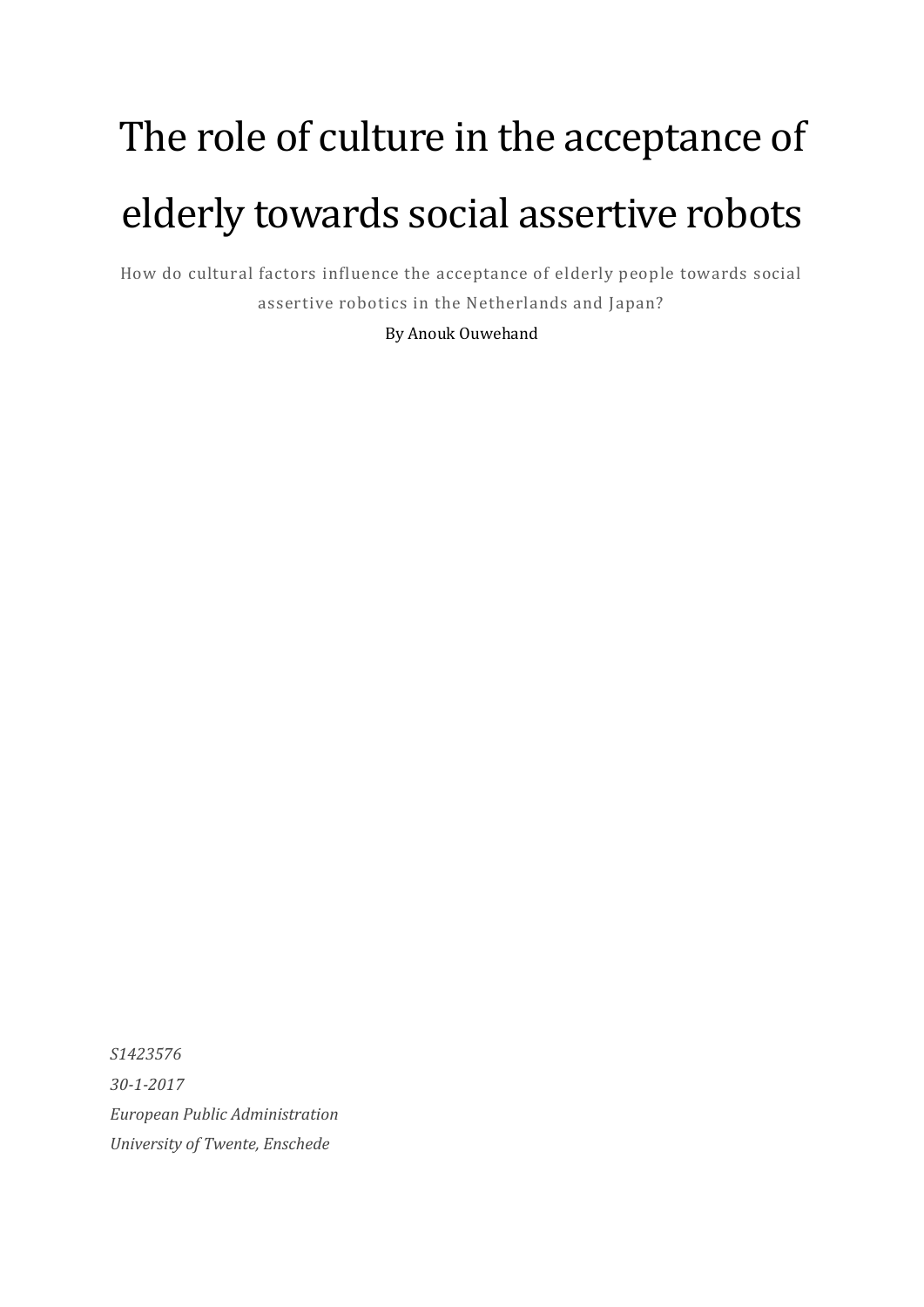# The role of culture in the acceptance of elderly towards social assertive robots

How do cultural factors influence the acceptance of elderly people towards social assertive robotics in the Netherlands and Japan?

By Anouk Ouwehand

*S1423576 30-1-2017 European Public Administration University of Twente, Enschede*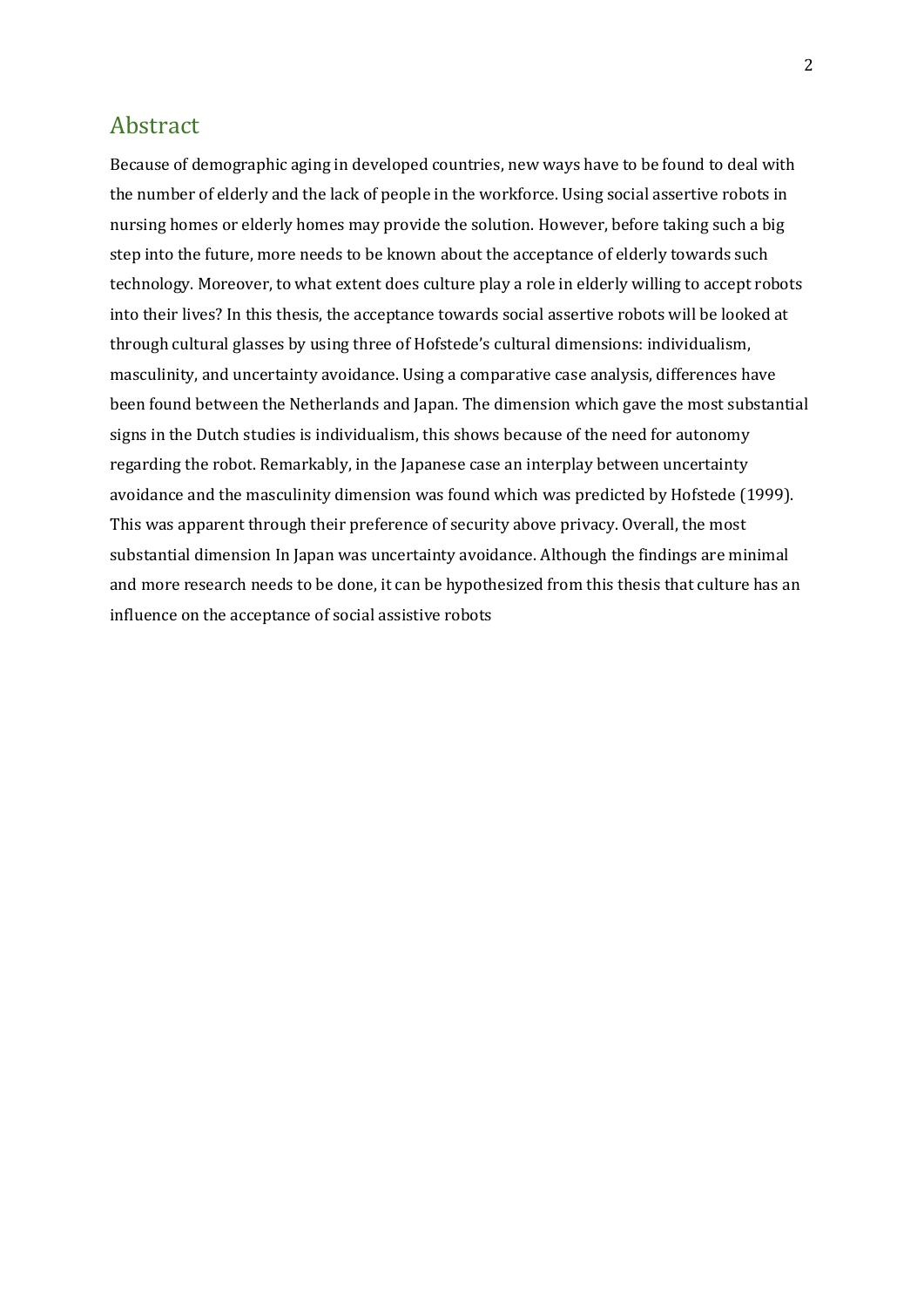## <span id="page-1-0"></span>Abstract

Because of demographic aging in developed countries, new ways have to be found to deal with the number of elderly and the lack of people in the workforce. Using social assertive robots in nursing homes or elderly homes may provide the solution. However, before taking such a big step into the future, more needs to be known about the acceptance of elderly towards such technology. Moreover, to what extent does culture play a role in elderly willing to accept robots into their lives? In this thesis, the acceptance towards social assertive robots will be looked at through cultural glasses by using three of Hofstede's cultural dimensions: individualism, masculinity, and uncertainty avoidance. Using a comparative case analysis, differences have been found between the Netherlands and Japan. The dimension which gave the most substantial signs in the Dutch studies is individualism, this shows because of the need for autonomy regarding the robot. Remarkably, in the Japanese case an interplay between uncertainty avoidance and the masculinity dimension was found which was predicted by Hofstede (1999). This was apparent through their preference of security above privacy. Overall, the most substantial dimension In Japan was uncertainty avoidance. Although the findings are minimal and more research needs to be done, it can be hypothesized from this thesis that culture has an influence on the acceptance of social assistive robots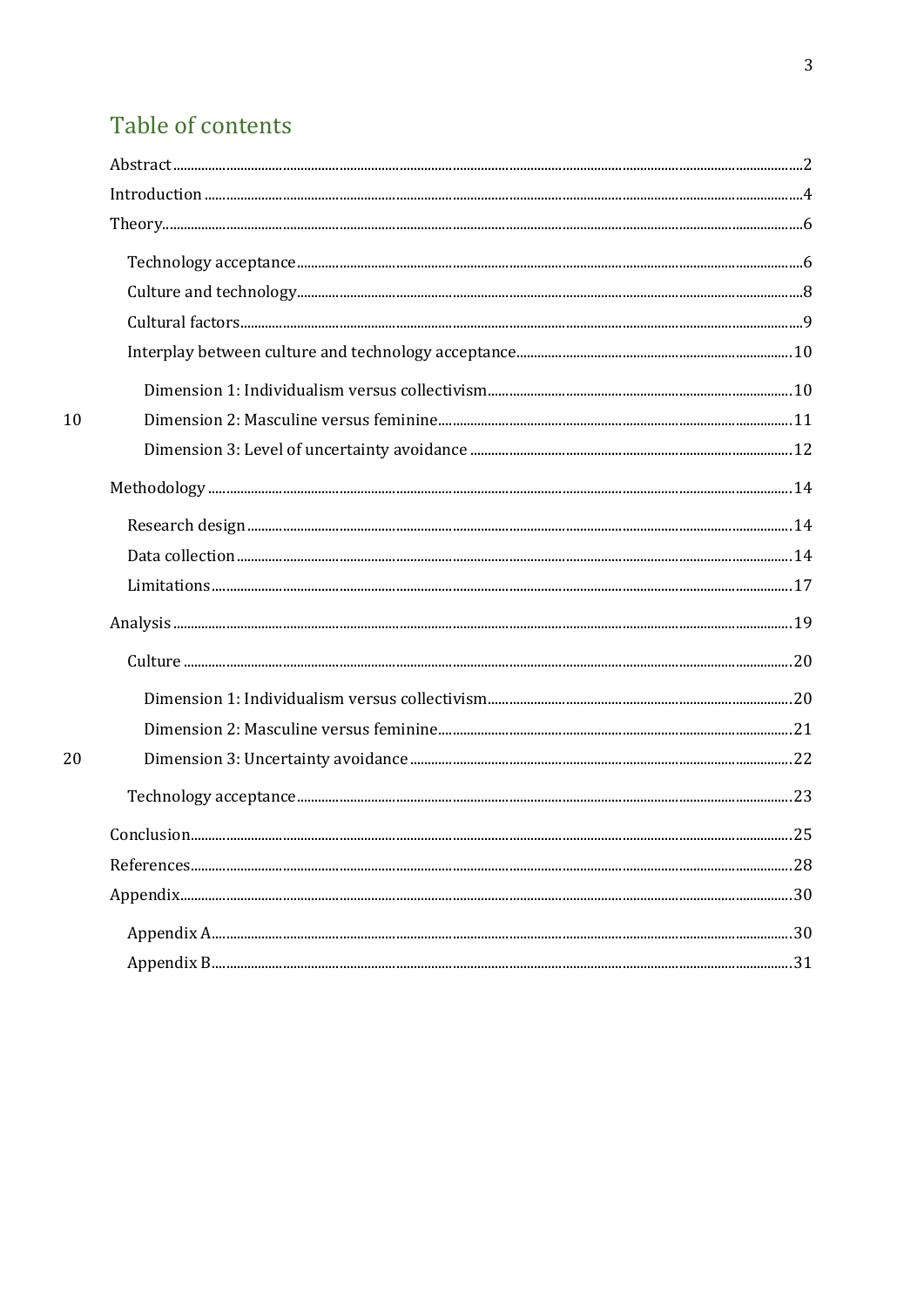# Table of contents

 $10$ 

 $20\,$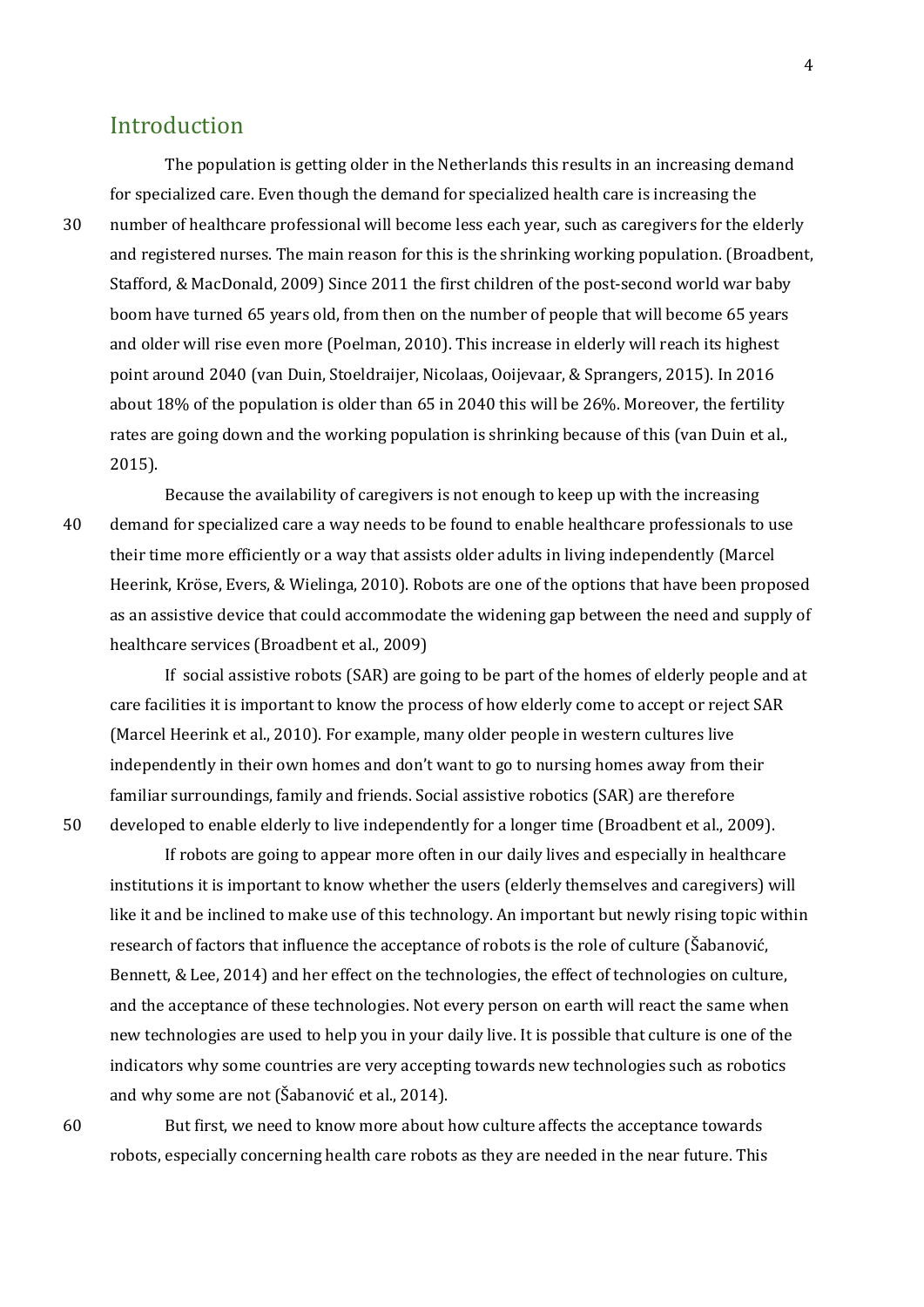## <span id="page-3-0"></span>Introduction

The population is getting older in the Netherlands this results in an increasing demand for specialized care. Even though the demand for specialized health care is increasing the 30 number of healthcare professional will become less each year, such as caregivers for the elderly and registered nurses. The main reason for this is the shrinking working population. (Broadbent, Stafford, & MacDonald, 2009) Since 2011 the first children of the post-second world war baby boom have turned 65 years old, from then on the number of people that will become 65 years and older will rise even more (Poelman, 2010). This increase in elderly will reach its highest point around 2040 (van Duin, Stoeldraijer, Nicolaas, Ooijevaar, & Sprangers, 2015). In 2016 about 18% of the population is older than 65 in 2040 this will be 26%. Moreover, the fertility rates are going down and the working population is shrinking because of this (van Duin et al., 2015).

Because the availability of caregivers is not enough to keep up with the increasing 40 demand for specialized care a way needs to be found to enable healthcare professionals to use their time more efficiently or a way that assists older adults in living independently (Marcel Heerink, Kröse, Evers, & Wielinga, 2010). Robots are one of the options that have been proposed as an assistive device that could accommodate the widening gap between the need and supply of healthcare services (Broadbent et al., 2009)

If social assistive robots (SAR) are going to be part of the homes of elderly people and at care facilities it is important to know the process of how elderly come to accept or reject SAR (Marcel Heerink et al., 2010). For example, many older people in western cultures live independently in their own homes and don't want to go to nursing homes away from their familiar surroundings, family and friends. Social assistive robotics (SAR) are therefore 50 developed to enable elderly to live independently for a longer time (Broadbent et al., 2009).

If robots are going to appear more often in our daily lives and especially in healthcare institutions it is important to know whether the users (elderly themselves and caregivers) will like it and be inclined to make use of this technology. An important but newly rising topic within research of factors that influence the acceptance of robots is the role of culture (Šabanović, Bennett, & Lee, 2014) and her effect on the technologies, the effect of technologies on culture, and the acceptance of these technologies. Not every person on earth will react the same when new technologies are used to help you in your daily live. It is possible that culture is one of the indicators why some countries are very accepting towards new technologies such as robotics and why some are not (Šabanović et al., 2014).

60 But first, we need to know more about how culture affects the acceptance towards robots, especially concerning health care robots as they are needed in the near future. This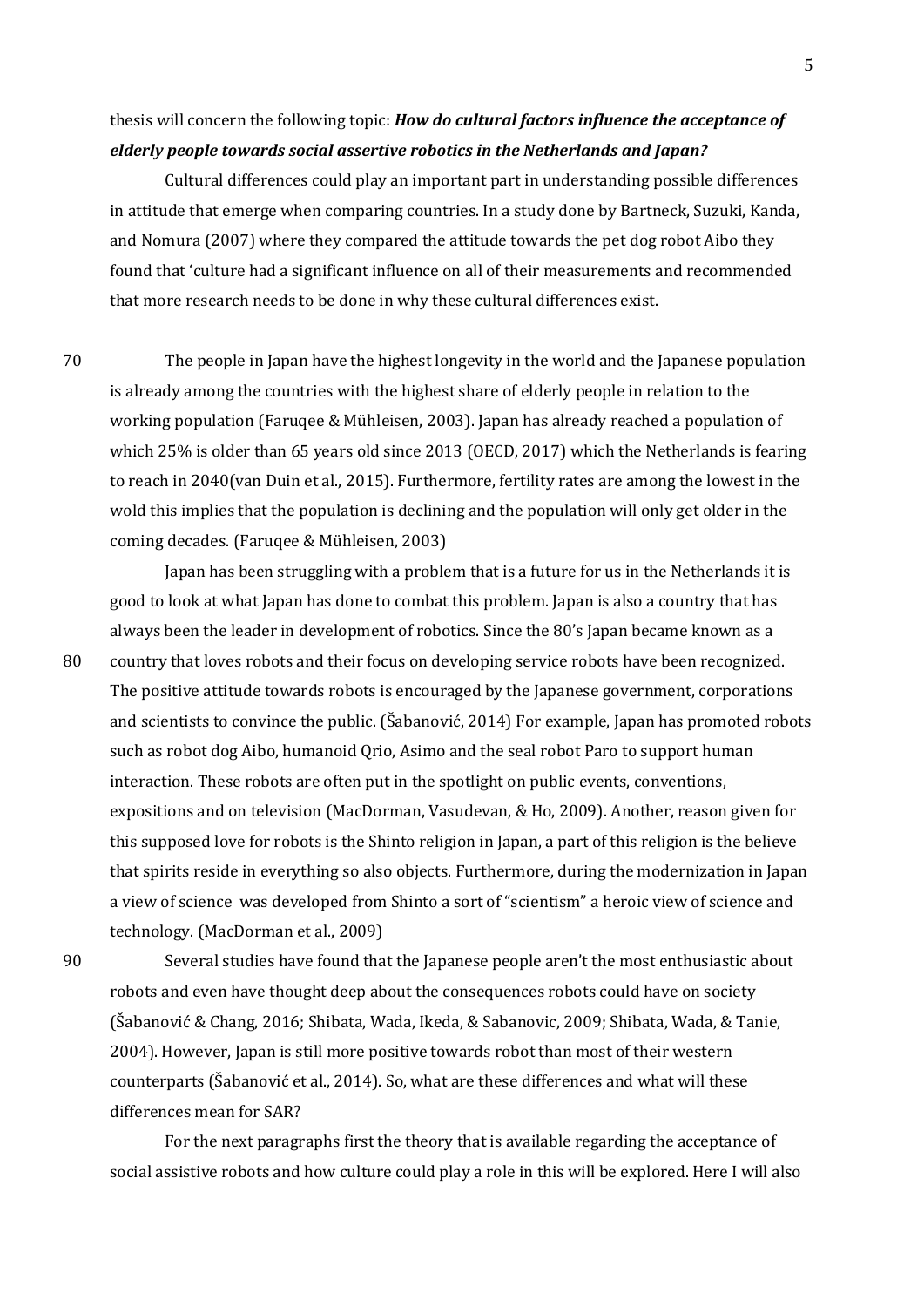## thesis will concern the following topic: *How do cultural factors influence the acceptance of elderly people towards social assertive robotics in the Netherlands and Japan?*

Cultural differences could play an important part in understanding possible differences in attitude that emerge when comparing countries. In a study done by Bartneck, Suzuki, Kanda, and Nomura (2007) where they compared the attitude towards the pet dog robot Aibo they found that 'culture had a significant influence on all of their measurements and recommended that more research needs to be done in why these cultural differences exist.

70 The people in Japan have the highest longevity in the world and the Japanese population is already among the countries with the highest share of elderly people in relation to the working population (Faruqee & Mühleisen, 2003). Japan has already reached a population of which 25% is older than 65 years old since 2013 (OECD, 2017) which the Netherlands is fearing to reach in 2040(van Duin et al., 2015). Furthermore, fertility rates are among the lowest in the wold this implies that the population is declining and the population will only get older in the coming decades. (Faruqee & Mühleisen, 2003)

Japan has been struggling with a problem that is a future for us in the Netherlands it is good to look at what Japan has done to combat this problem. Japan is also a country that has always been the leader in development of robotics. Since the 80's Japan became known as a 80 country that loves robots and their focus on developing service robots have been recognized. The positive attitude towards robots is encouraged by the Japanese government, corporations and scientists to convince the public. (Šabanović, 2014) For example, Japan has promoted robots such as robot dog Aibo, humanoid Qrio, Asimo and the seal robot Paro to support human interaction. These robots are often put in the spotlight on public events, conventions, expositions and on television (MacDorman, Vasudevan, & Ho, 2009). Another, reason given for this supposed love for robots is the Shinto religion in Japan, a part of this religion is the believe that spirits reside in everything so also objects. Furthermore, during the modernization in Japan a view of science was developed from Shinto a sort of "scientism" a heroic view of science and technology. (MacDorman et al., 2009)

90 Several studies have found that the Japanese people aren't the most enthusiastic about robots and even have thought deep about the consequences robots could have on society (Šabanović & Chang, 2016; Shibata, Wada, Ikeda, & Sabanovic, 2009; Shibata, Wada, & Tanie, 2004). However, Japan is still more positive towards robot than most of their western counterparts (Šabanović et al., 2014). So, what are these differences and what will these differences mean for SAR?

For the next paragraphs first the theory that is available regarding the acceptance of social assistive robots and how culture could play a role in this will be explored. Here I will also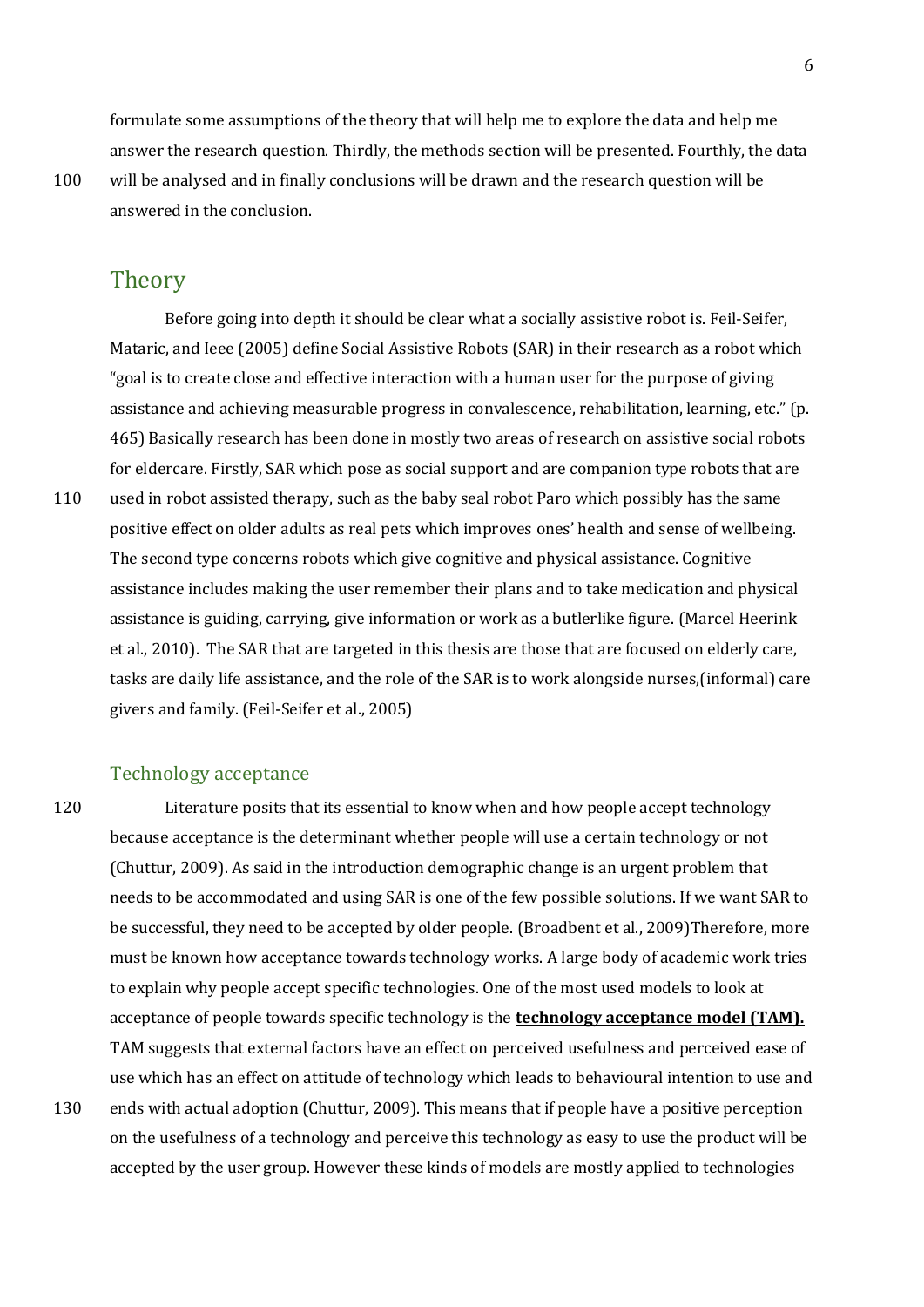formulate some assumptions of the theory that will help me to explore the data and help me answer the research question. Thirdly, the methods section will be presented. Fourthly, the data

#### <span id="page-5-0"></span>**Theory**

answered in the conclusion.

Before going into depth it should be clear what a socially assistive robot is. Feil-Seifer, Mataric, and Ieee (2005) define Social Assistive Robots (SAR) in their research as a robot which "goal is to create close and effective interaction with a human user for the purpose of giving assistance and achieving measurable progress in convalescence, rehabilitation, learning, etc." (p. 465) Basically research has been done in mostly two areas of research on assistive social robots for eldercare. Firstly, SAR which pose as social support and are companion type robots that are 110 used in robot assisted therapy, such as the baby seal robot Paro which possibly has the same positive effect on older adults as real pets which improves ones' health and sense of wellbeing. The second type concerns robots which give cognitive and physical assistance. Cognitive assistance includes making the user remember their plans and to take medication and physical assistance is guiding, carrying, give information or work as a butlerlike figure. (Marcel Heerink et al., 2010). The SAR that are targeted in this thesis are those that are focused on elderly care, tasks are daily life assistance, and the role of the SAR is to work alongside nurses,(informal) care givers and family. (Feil-Seifer et al., 2005)

#### <span id="page-5-1"></span>Technology acceptance

120 Literature posits that its essential to know when and how people accept technology because acceptance is the determinant whether people will use a certain technology or not (Chuttur, 2009). As said in the introduction demographic change is an urgent problem that needs to be accommodated and using SAR is one of the few possible solutions. If we want SAR to be successful, they need to be accepted by older people. (Broadbent et al., 2009)Therefore, more must be known how acceptance towards technology works. A large body of academic work tries to explain why people accept specific technologies. One of the most used models to look at acceptance of people towards specific technology is the **technology acceptance model (TAM).** TAM suggests that external factors have an effect on perceived usefulness and perceived ease of use which has an effect on attitude of technology which leads to behavioural intention to use and 130 ends with actual adoption (Chuttur, 2009). This means that if people have a positive perception on the usefulness of a technology and perceive this technology as easy to use the product will be accepted by the user group. However these kinds of models are mostly applied to technologies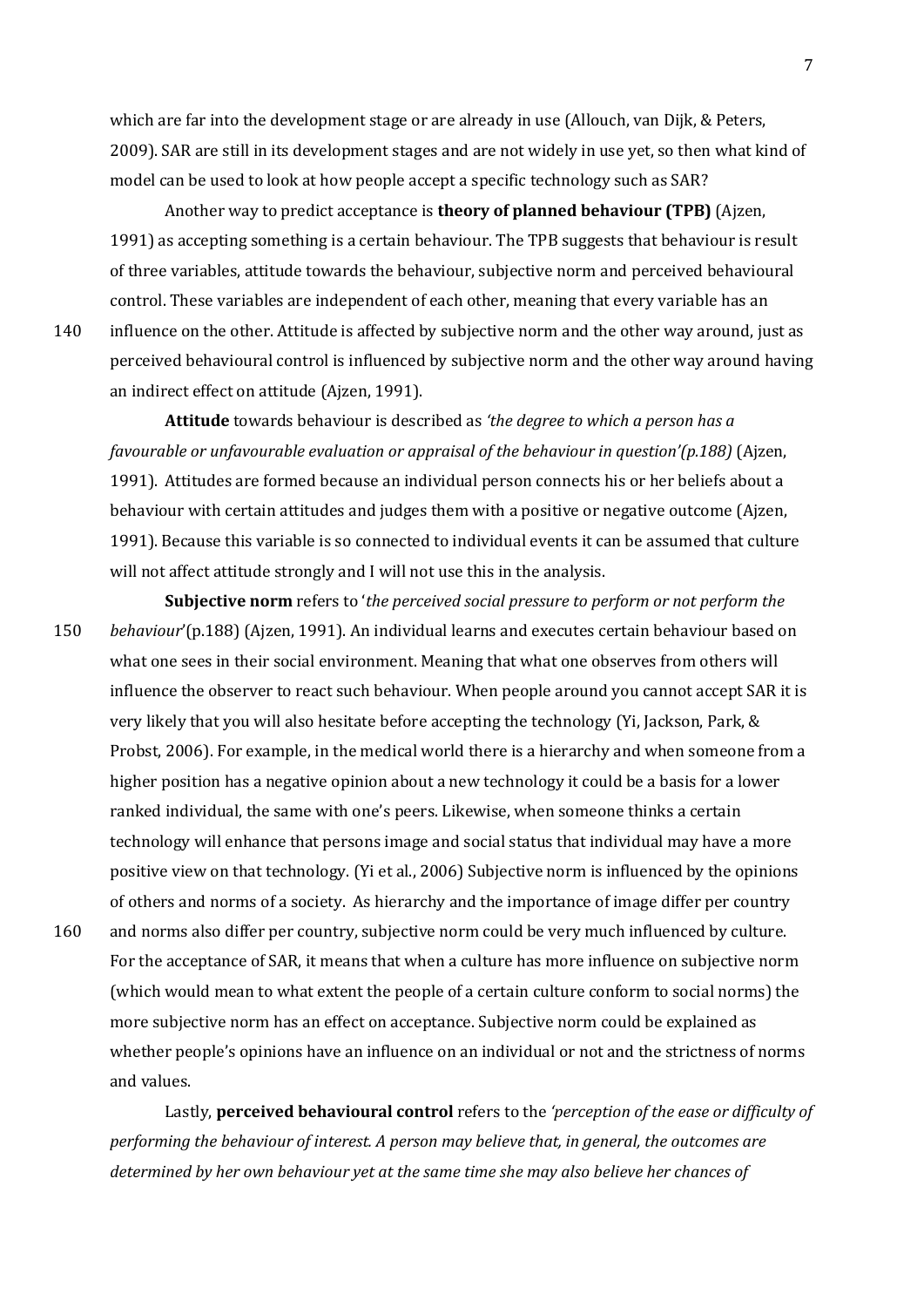which are far into the development stage or are already in use (Allouch, van Dijk, & Peters, 2009). SAR are still in its development stages and are not widely in use yet, so then what kind of model can be used to look at how people accept a specific technology such as SAR?

Another way to predict acceptance is **theory of planned behaviour (TPB)** (Ajzen, 1991) as accepting something is a certain behaviour. The TPB suggests that behaviour is result of three variables, attitude towards the behaviour, subjective norm and perceived behavioural control. These variables are independent of each other, meaning that every variable has an

140 influence on the other. Attitude is affected by subjective norm and the other way around, just as perceived behavioural control is influenced by subjective norm and the other way around having an indirect effect on attitude (Ajzen, 1991).

**Attitude** towards behaviour is described as *'the degree to which a person has a favourable or unfavourable evaluation or appraisal of the behaviour in question'(p.188)* (Ajzen, 1991). Attitudes are formed because an individual person connects his or her beliefs about a behaviour with certain attitudes and judges them with a positive or negative outcome (Ajzen, 1991). Because this variable is so connected to individual events it can be assumed that culture will not affect attitude strongly and I will not use this in the analysis.

**Subjective norm** refers to '*the perceived social pressure to perform or not perform the*  150 *behaviour*'(p.188) (Ajzen, 1991). An individual learns and executes certain behaviour based on what one sees in their social environment. Meaning that what one observes from others will influence the observer to react such behaviour. When people around you cannot accept SAR it is very likely that you will also hesitate before accepting the technology (Yi, Jackson, Park, & Probst, 2006). For example, in the medical world there is a hierarchy and when someone from a higher position has a negative opinion about a new technology it could be a basis for a lower ranked individual, the same with one's peers. Likewise, when someone thinks a certain technology will enhance that persons image and social status that individual may have a more positive view on that technology. (Yi et al., 2006) Subjective norm is influenced by the opinions of others and norms of a society. As hierarchy and the importance of image differ per country 160 and norms also differ per country, subjective norm could be very much influenced by culture.

For the acceptance of SAR, it means that when a culture has more influence on subjective norm (which would mean to what extent the people of a certain culture conform to social norms) the more subjective norm has an effect on acceptance. Subjective norm could be explained as whether people's opinions have an influence on an individual or not and the strictness of norms and values.

Lastly, **perceived behavioural control** refers to the *'perception of the ease or difficulty of performing the behaviour of interest. A person may believe that, in general, the outcomes are determined by her own behaviour yet at the same time she may also believe her chances of*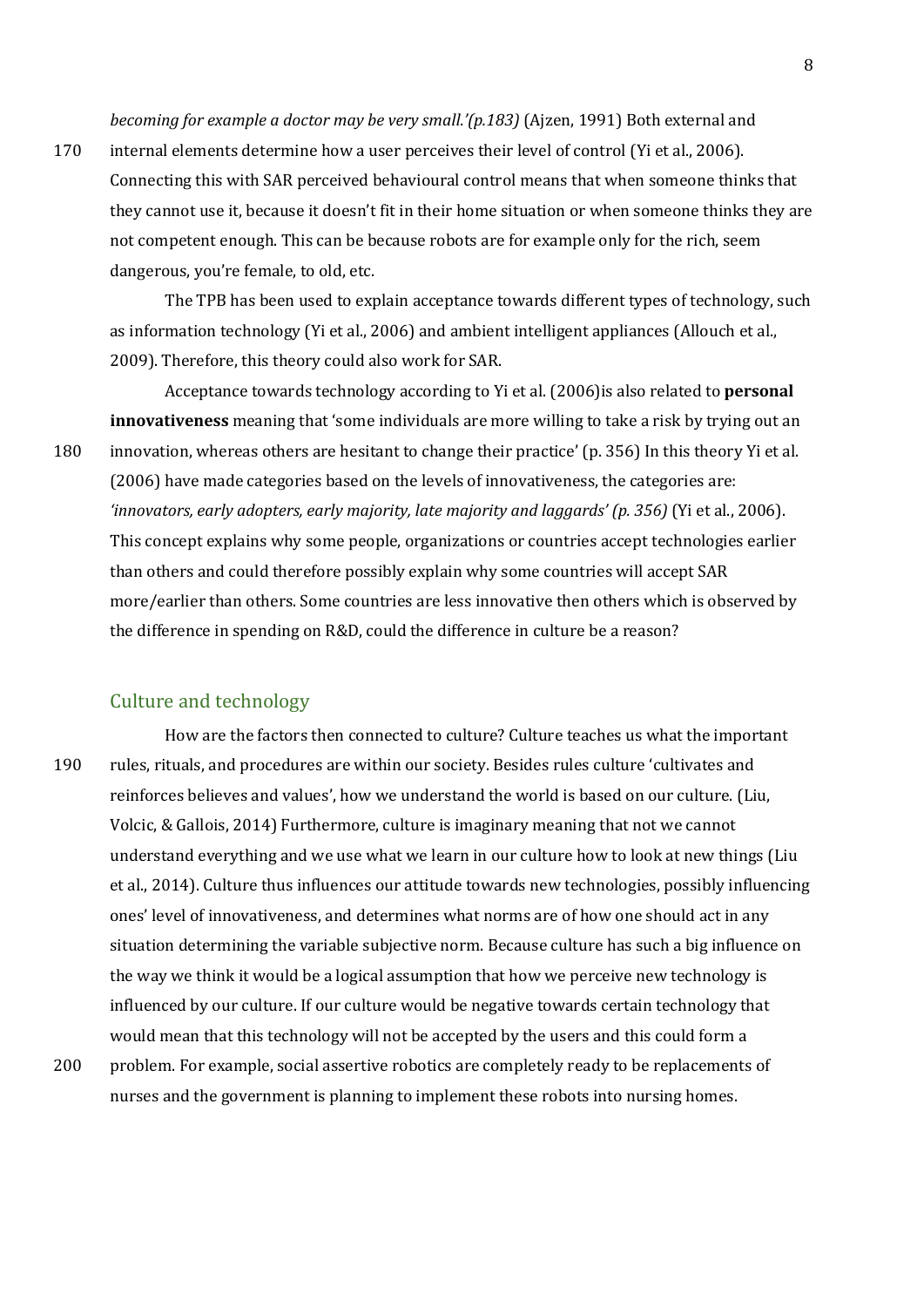*becoming for example a doctor may be very small.'(p.183)* (Ajzen, 1991) Both external and

170 internal elements determine how a user perceives their level of control (Yi et al., 2006). Connecting this with SAR perceived behavioural control means that when someone thinks that they cannot use it, because it doesn't fit in their home situation or when someone thinks they are not competent enough. This can be because robots are for example only for the rich, seem dangerous, you're female, to old, etc.

The TPB has been used to explain acceptance towards different types of technology, such as information technology (Yi et al., 2006) and ambient intelligent appliances (Allouch et al., 2009). Therefore, this theory could also work for SAR.

Acceptance towards technology according to Yi et al. (2006)is also related to **personal innovativeness** meaning that 'some individuals are more willing to take a risk by trying out an 180 innovation, whereas others are hesitant to change their practice' (p. 356) In this theory Yi et al. (2006) have made categories based on the levels of innovativeness, the categories are: *'innovators, early adopters, early majority, late majority and laggards' (p. 356)* (Yi et al., 2006). This concept explains why some people, organizations or countries accept technologies earlier than others and could therefore possibly explain why some countries will accept SAR more/earlier than others. Some countries are less innovative then others which is observed by the difference in spending on R&D, could the difference in culture be a reason?

#### <span id="page-7-0"></span>Culture and technology

- How are the factors then connected to culture? Culture teaches us what the important 190 rules, rituals, and procedures are within our society. Besides rules culture 'cultivates and reinforces believes and values', how we understand the world is based on our culture. (Liu, Volcic, & Gallois, 2014) Furthermore, culture is imaginary meaning that not we cannot understand everything and we use what we learn in our culture how to look at new things (Liu et al., 2014). Culture thus influences our attitude towards new technologies, possibly influencing ones' level of innovativeness, and determines what norms are of how one should act in any situation determining the variable subjective norm. Because culture has such a big influence on the way we think it would be a logical assumption that how we perceive new technology is influenced by our culture. If our culture would be negative towards certain technology that would mean that this technology will not be accepted by the users and this could form a
- 200 problem. For example, social assertive robotics are completely ready to be replacements of nurses and the government is planning to implement these robots into nursing homes.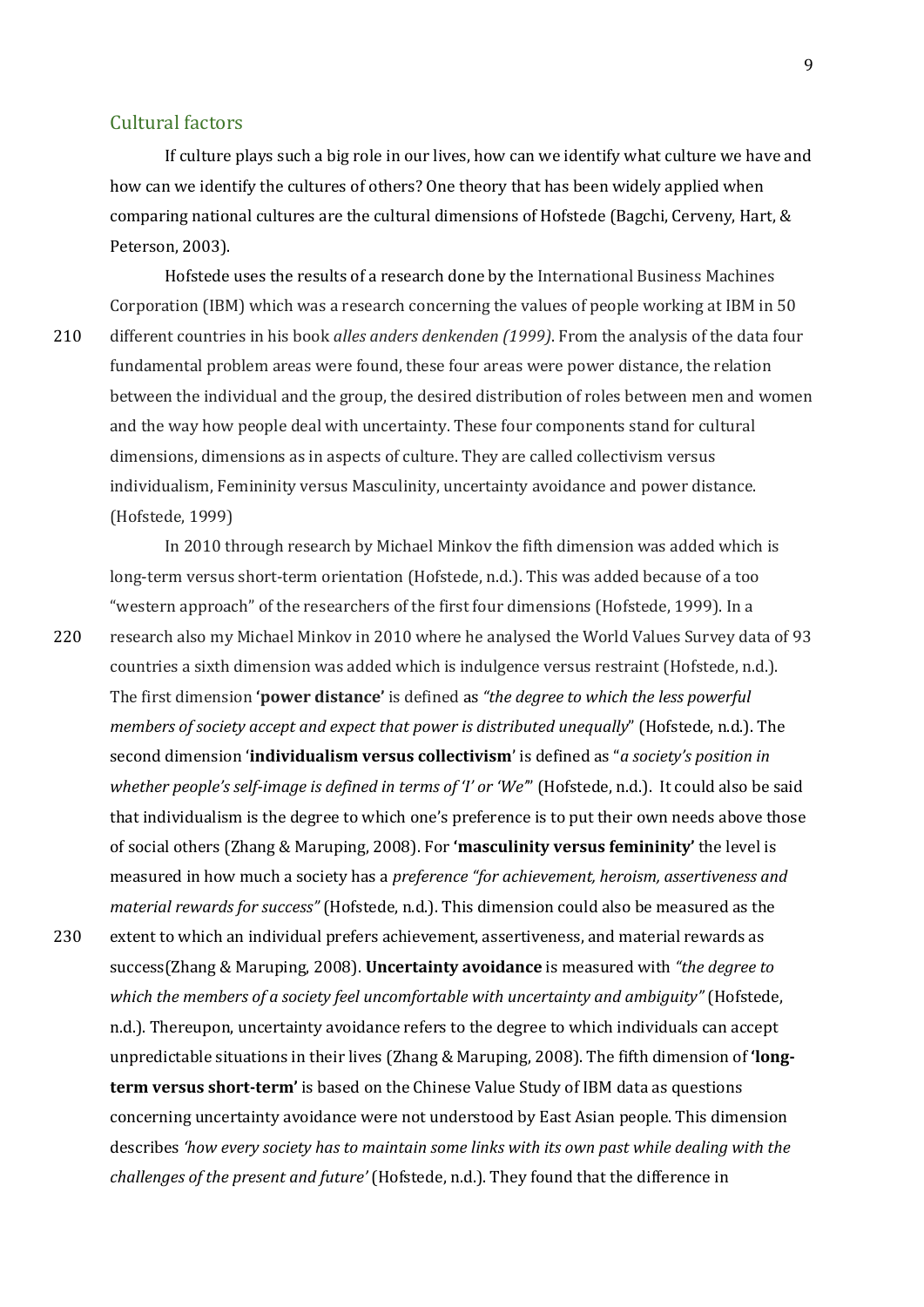#### <span id="page-8-0"></span>Cultural factors

If culture plays such a big role in our lives, how can we identify what culture we have and how can we identify the cultures of others? One theory that has been widely applied when comparing national cultures are the cultural dimensions of Hofstede (Bagchi, Cerveny, Hart, & Peterson, 2003).

Hofstede uses the results of a research done by the International Business Machines Corporation (IBM) which was a research concerning the values of people working at IBM in 50 210 different countries in his book *alles anders denkenden (1999)*. From the analysis of the data four fundamental problem areas were found, these four areas were power distance, the relation between the individual and the group, the desired distribution of roles between men and women and the way how people deal with uncertainty. These four components stand for cultural dimensions, dimensions as in aspects of culture. They are called collectivism versus individualism, Femininity versus Masculinity, uncertainty avoidance and power distance. (Hofstede, 1999)

In 2010 through research by Michael Minkov the fifth dimension was added which is long-term versus short-term orientation (Hofstede, n.d.). This was added because of a too "western approach" of the researchers of the first four dimensions (Hofstede, 1999). In a

220 research also my Michael Minkov in 2010 where he analysed the World Values Survey data of 93 countries a sixth dimension was added which is indulgence versus restraint (Hofstede, n.d.). The first dimension **'power distance'** is defined as *"the degree to which the less powerful members of society accept and expect that power is distributed unequally*" (Hofstede, n.d.). The second dimension '**individualism versus collectivism**' is defined as "*a society's position in whether people's self-image is defined in terms of 'I' or 'We'*" (Hofstede, n.d.). It could also be said that individualism is the degree to which one's preference is to put their own needs above those of social others (Zhang & Maruping, 2008). For **'masculinity versus femininity'** the level is measured in how much a society has a *preference "for achievement, heroism, assertiveness and material rewards for success"* (Hofstede, n.d.). This dimension could also be measured as the 230 extent to which an individual prefers achievement, assertiveness, and material rewards as success(Zhang & Maruping, 2008). **Uncertainty avoidance** is measured with *"the degree to which the members of a society feel uncomfortable with uncertainty and ambiguity"* (Hofstede, n.d.). Thereupon, uncertainty avoidance refers to the degree to which individuals can accept unpredictable situations in their lives (Zhang & Maruping, 2008). The fifth dimension of **'longterm versus short-term'** is based on the Chinese Value Study of IBM data as questions concerning uncertainty avoidance were not understood by East Asian people. This dimension describes *'how every society has to maintain some links with its own past while dealing with the challenges of the present and future'* (Hofstede, n.d.). They found that the difference in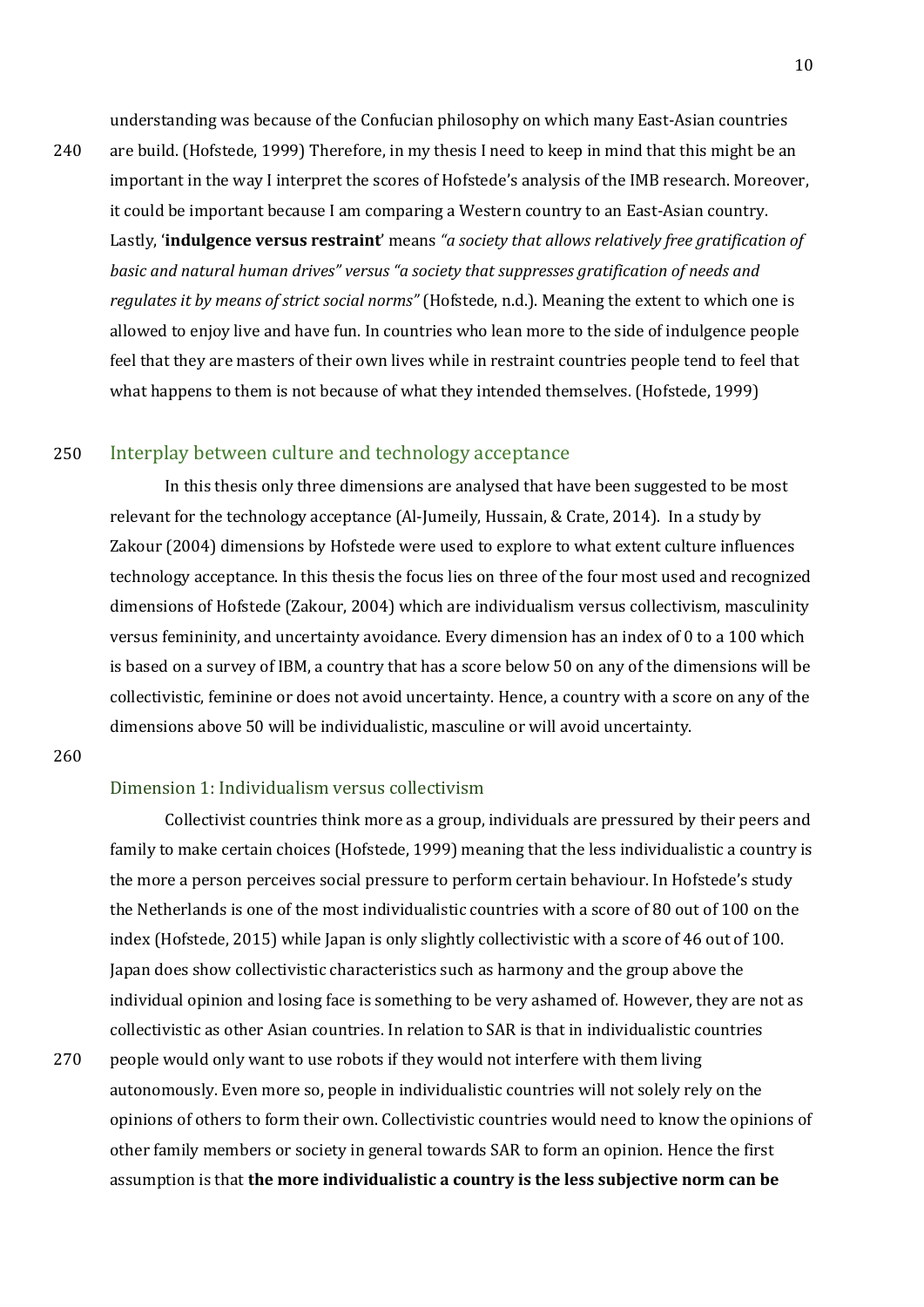understanding was because of the Confucian philosophy on which many East-Asian countries

240 are build. (Hofstede, 1999) Therefore, in my thesis I need to keep in mind that this might be an important in the way I interpret the scores of Hofstede's analysis of the IMB research. Moreover, it could be important because I am comparing a Western country to an East-Asian country. Lastly, '**indulgence versus restraint**' means *"a society that allows relatively free gratification of basic and natural human drives" versus "a society that suppresses gratification of needs and regulates it by means of strict social norms"* (Hofstede, n.d.). Meaning the extent to which one is allowed to enjoy live and have fun. In countries who lean more to the side of indulgence people feel that they are masters of their own lives while in restraint countries people tend to feel that what happens to them is not because of what they intended themselves. (Hofstede, 1999)

#### 250 Interplay between culture and technology acceptance

<span id="page-9-0"></span>In this thesis only three dimensions are analysed that have been suggested to be most relevant for the technology acceptance (Al-Jumeily, Hussain, & Crate, 2014). In a study by Zakour (2004) dimensions by Hofstede were used to explore to what extent culture influences technology acceptance. In this thesis the focus lies on three of the four most used and recognized dimensions of Hofstede (Zakour, 2004) which are individualism versus collectivism, masculinity versus femininity, and uncertainty avoidance. Every dimension has an index of 0 to a 100 which is based on a survey of IBM, a country that has a score below 50 on any of the dimensions will be collectivistic, feminine or does not avoid uncertainty. Hence, a country with a score on any of the dimensions above 50 will be individualistic, masculine or will avoid uncertainty.

260

#### <span id="page-9-1"></span>Dimension 1: Individualism versus collectivism

Collectivist countries think more as a group, individuals are pressured by their peers and family to make certain choices (Hofstede, 1999) meaning that the less individualistic a country is the more a person perceives social pressure to perform certain behaviour. In Hofstede's study the Netherlands is one of the most individualistic countries with a score of 80 out of 100 on the index (Hofstede, 2015) while Japan is only slightly collectivistic with a score of 46 out of 100. Japan does show collectivistic characteristics such as harmony and the group above the individual opinion and losing face is something to be very ashamed of. However, they are not as collectivistic as other Asian countries. In relation to SAR is that in individualistic countries 270 people would only want to use robots if they would not interfere with them living autonomously. Even more so, people in individualistic countries will not solely rely on the opinions of others to form their own. Collectivistic countries would need to know the opinions of

other family members or society in general towards SAR to form an opinion. Hence the first assumption is that **the more individualistic a country is the less subjective norm can be**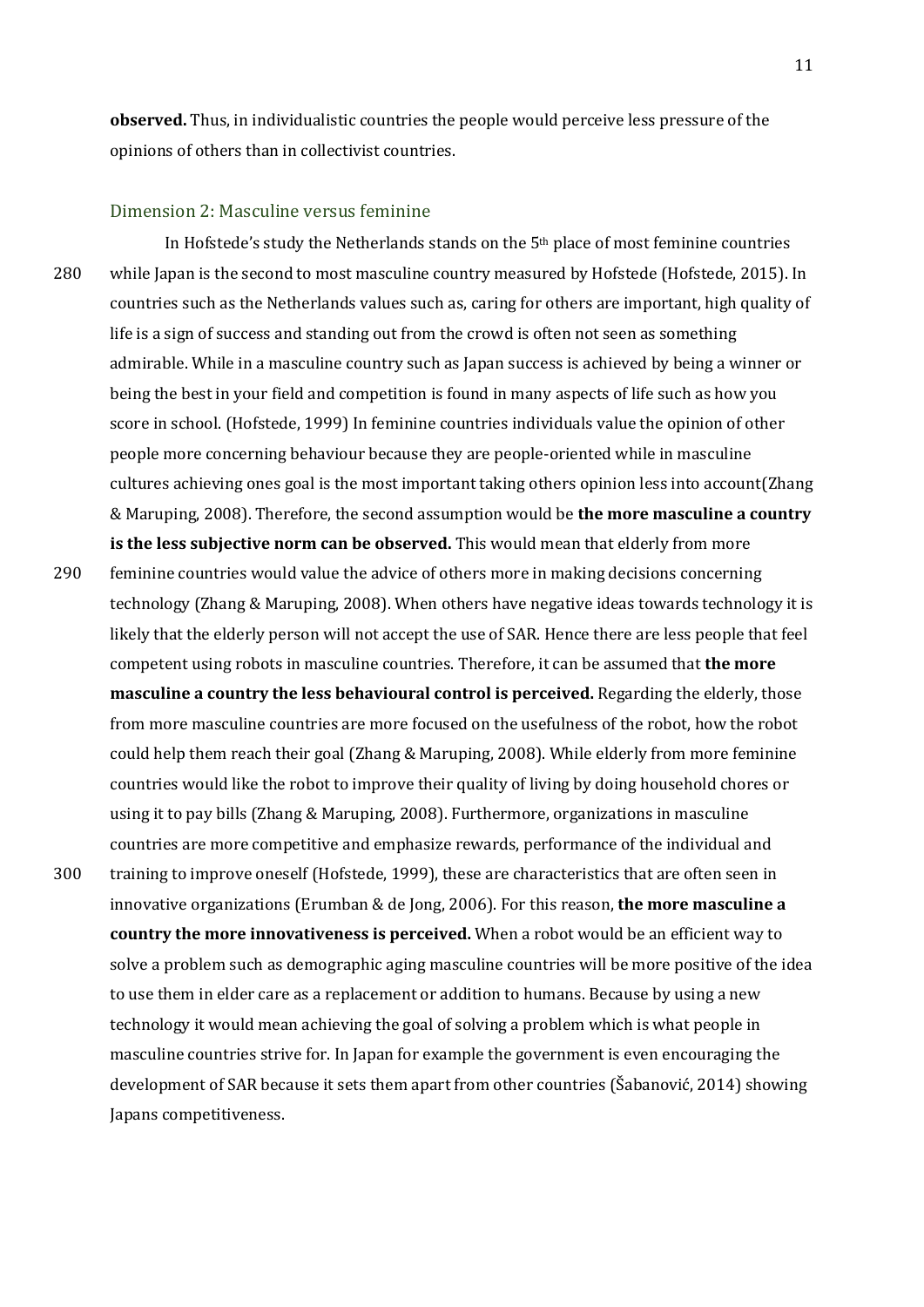**observed.** Thus, in individualistic countries the people would perceive less pressure of the opinions of others than in collectivist countries.

#### <span id="page-10-0"></span>Dimension 2: Masculine versus feminine

In Hofstede's study the Netherlands stands on the  $5<sup>th</sup>$  place of most feminine countries 280 while Japan is the second to most masculine country measured by Hofstede (Hofstede, 2015). In countries such as the Netherlands values such as, caring for others are important, high quality of life is a sign of success and standing out from the crowd is often not seen as something admirable. While in a masculine country such as Japan success is achieved by being a winner or being the best in your field and competition is found in many aspects of life such as how you score in school. (Hofstede, 1999) In feminine countries individuals value the opinion of other people more concerning behaviour because they are people-oriented while in masculine cultures achieving ones goal is the most important taking others opinion less into account(Zhang & Maruping, 2008). Therefore, the second assumption would be **the more masculine a country is the less subjective norm can be observed.** This would mean that elderly from more

290 feminine countries would value the advice of others more in making decisions concerning technology (Zhang & Maruping, 2008). When others have negative ideas towards technology it is likely that the elderly person will not accept the use of SAR. Hence there are less people that feel competent using robots in masculine countries. Therefore, it can be assumed that **the more masculine a country the less behavioural control is perceived.** Regarding the elderly, those from more masculine countries are more focused on the usefulness of the robot, how the robot could help them reach their goal (Zhang & Maruping, 2008). While elderly from more feminine countries would like the robot to improve their quality of living by doing household chores or using it to pay bills (Zhang & Maruping, 2008). Furthermore, organizations in masculine countries are more competitive and emphasize rewards, performance of the individual and 300 training to improve oneself (Hofstede, 1999), these are characteristics that are often seen in innovative organizations (Erumban & de Jong, 2006). For this reason, **the more masculine a country the more innovativeness is perceived.** When a robot would be an efficient way to solve a problem such as demographic aging masculine countries will be more positive of the idea to use them in elder care as a replacement or addition to humans. Because by using a new technology it would mean achieving the goal of solving a problem which is what people in masculine countries strive for. In Japan for example the government is even encouraging the development of SAR because it sets them apart from other countries (Šabanović, 2014) showing Japans competitiveness.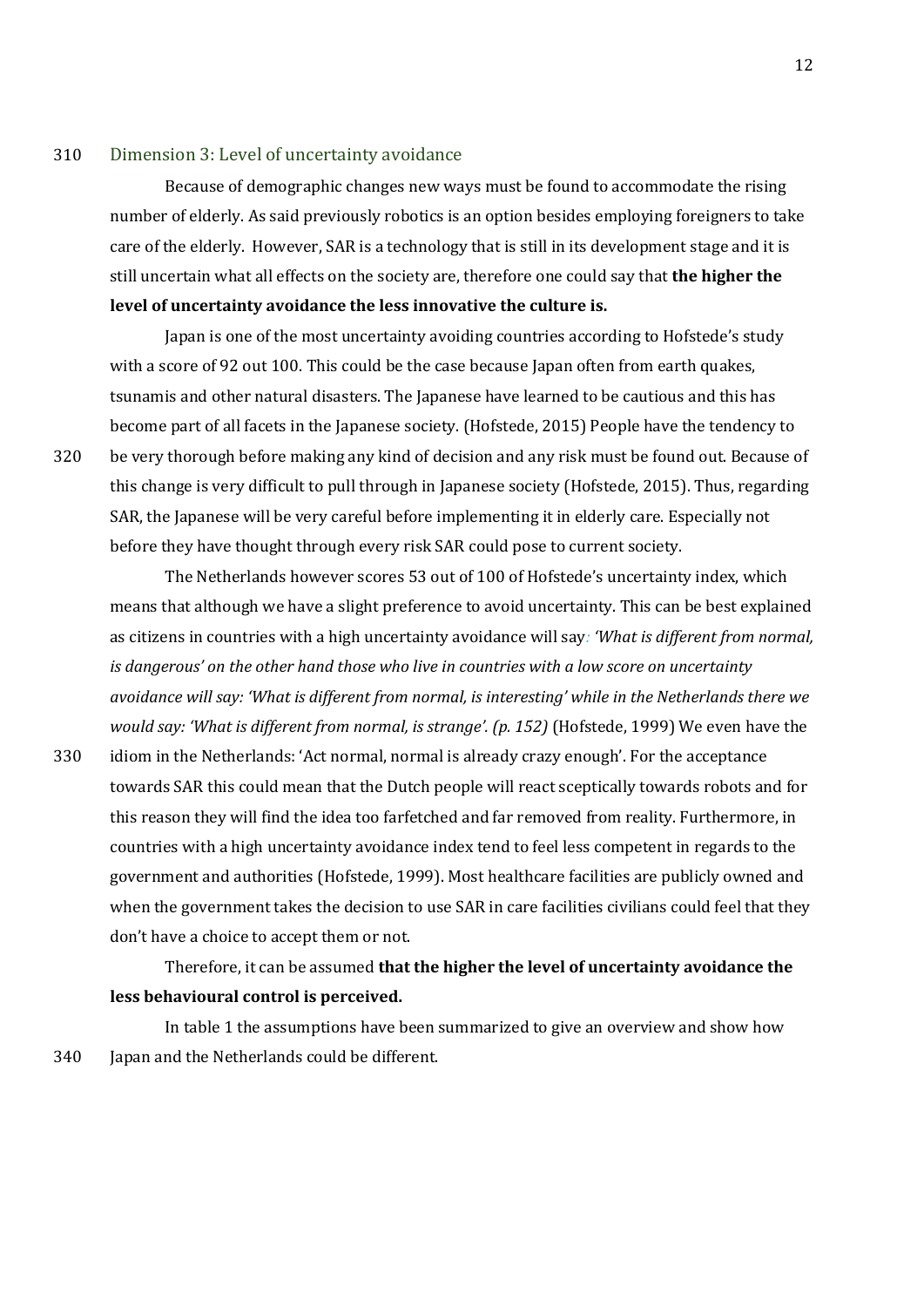#### 310 Dimension 3: Level of uncertainty avoidance

<span id="page-11-0"></span>Because of demographic changes new ways must be found to accommodate the rising number of elderly. As said previously robotics is an option besides employing foreigners to take care of the elderly. However, SAR is a technology that is still in its development stage and it is still uncertain what all effects on the society are, therefore one could say that **the higher the level of uncertainty avoidance the less innovative the culture is.**

Japan is one of the most uncertainty avoiding countries according to Hofstede's study with a score of 92 out 100. This could be the case because Japan often from earth quakes, tsunamis and other natural disasters. The Japanese have learned to be cautious and this has become part of all facets in the Japanese society. (Hofstede, 2015) People have the tendency to 320 be very thorough before making any kind of decision and any risk must be found out. Because of this change is very difficult to pull through in Japanese society (Hofstede, 2015). Thus, regarding SAR, the Japanese will be very careful before implementing it in elderly care. Especially not before they have thought through every risk SAR could pose to current society.

The Netherlands however scores 53 out of 100 of Hofstede's uncertainty index, which means that although we have a slight preference to avoid uncertainty. This can be best explained as citizens in countries with a high uncertainty avoidance will say*: 'What is different from normal, is dangerous' on the other hand those who live in countries with a low score on uncertainty avoidance will say: 'What is different from normal, is interesting' while in the Netherlands there we would say: 'What is different from normal, is strange'. (p. 152)* (Hofstede, 1999) We even have the

330 idiom in the Netherlands: 'Act normal, normal is already crazy enough'. For the acceptance towards SAR this could mean that the Dutch people will react sceptically towards robots and for this reason they will find the idea too farfetched and far removed from reality. Furthermore, in countries with a high uncertainty avoidance index tend to feel less competent in regards to the government and authorities (Hofstede, 1999). Most healthcare facilities are publicly owned and when the government takes the decision to use SAR in care facilities civilians could feel that they don't have a choice to accept them or not.

Therefore, it can be assumed **that the higher the level of uncertainty avoidance the less behavioural control is perceived.**

In table 1 the assumptions have been summarized to give an overview and show how 340 Japan and the Netherlands could be different.

12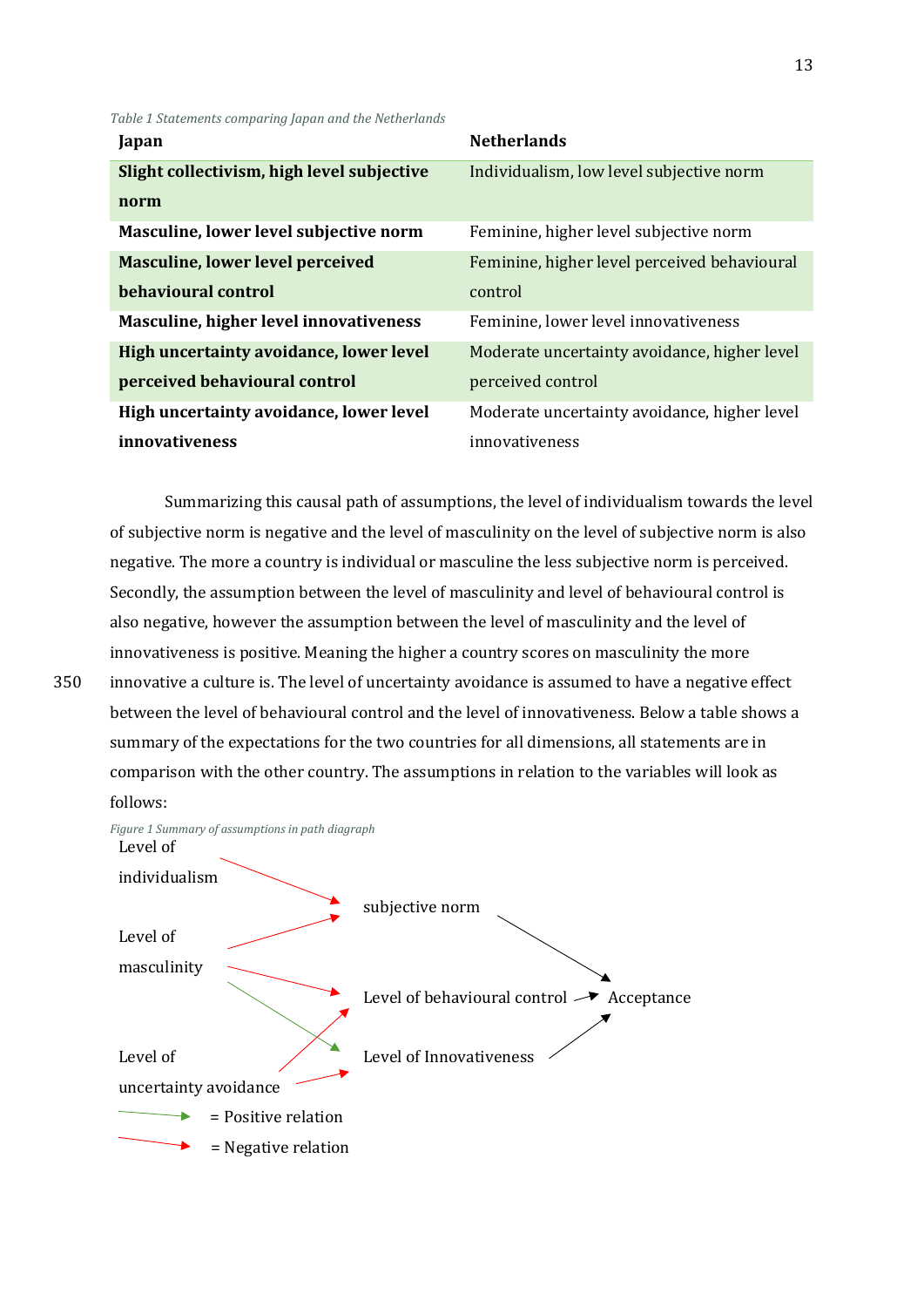*Table 1 Statements comparing Japan and the Netherlands*

| Japan                                      | <b>Netherlands</b>                           |
|--------------------------------------------|----------------------------------------------|
| Slight collectivism, high level subjective | Individualism, low level subjective norm     |
| norm                                       |                                              |
| Masculine, lower level subjective norm     | Feminine, higher level subjective norm       |
| <b>Masculine, lower level perceived</b>    | Feminine, higher level perceived behavioural |
| behavioural control                        | control                                      |
| Masculine, higher level innovativeness     | Feminine, lower level innovativeness         |
| High uncertainty avoidance, lower level    | Moderate uncertainty avoidance, higher level |
| perceived behavioural control              | perceived control                            |
| High uncertainty avoidance, lower level    | Moderate uncertainty avoidance, higher level |
| <i>innovativeness</i>                      | innovativeness                               |

Summarizing this causal path of assumptions, the level of individualism towards the level of subjective norm is negative and the level of masculinity on the level of subjective norm is also negative. The more a country is individual or masculine the less subjective norm is perceived. Secondly, the assumption between the level of masculinity and level of behavioural control is also negative, however the assumption between the level of masculinity and the level of innovativeness is positive. Meaning the higher a country scores on masculinity the more

350 innovative a culture is. The level of uncertainty avoidance is assumed to have a negative effect between the level of behavioural control and the level of innovativeness. Below a table shows a summary of the expectations for the two countries for all dimensions, all statements are in comparison with the other country. The assumptions in relation to the variables will look as follows:

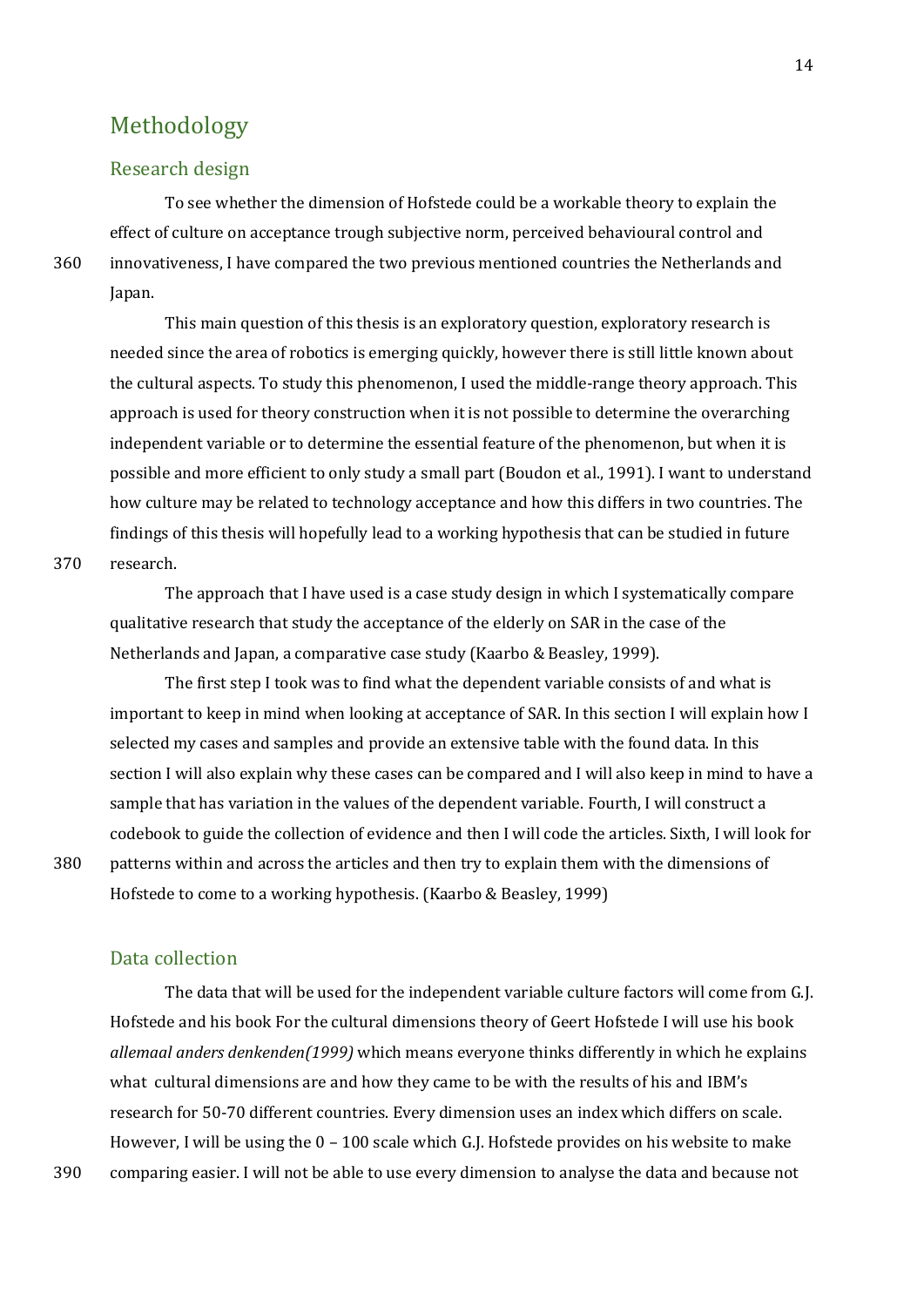## <span id="page-13-0"></span>Methodology

#### <span id="page-13-1"></span>Research design

To see whether the dimension of Hofstede could be a workable theory to explain the effect of culture on acceptance trough subjective norm, perceived behavioural control and 360 innovativeness, I have compared the two previous mentioned countries the Netherlands and Japan.

This main question of this thesis is an exploratory question, exploratory research is needed since the area of robotics is emerging quickly, however there is still little known about the cultural aspects. To study this phenomenon, I used the middle-range theory approach. This approach is used for theory construction when it is not possible to determine the overarching independent variable or to determine the essential feature of the phenomenon, but when it is possible and more efficient to only study a small part (Boudon et al., 1991). I want to understand how culture may be related to technology acceptance and how this differs in two countries. The findings of this thesis will hopefully lead to a working hypothesis that can be studied in future

370 research.

The approach that I have used is a case study design in which I systematically compare qualitative research that study the acceptance of the elderly on SAR in the case of the Netherlands and Japan, a comparative case study (Kaarbo & Beasley, 1999).

The first step I took was to find what the dependent variable consists of and what is important to keep in mind when looking at acceptance of SAR. In this section I will explain how I selected my cases and samples and provide an extensive table with the found data. In this section I will also explain why these cases can be compared and I will also keep in mind to have a sample that has variation in the values of the dependent variable. Fourth, I will construct a codebook to guide the collection of evidence and then I will code the articles. Sixth, I will look for 380 patterns within and across the articles and then try to explain them with the dimensions of Hofstede to come to a working hypothesis. (Kaarbo & Beasley, 1999)

<span id="page-13-2"></span>Data collection

The data that will be used for the independent variable culture factors will come from G.J. Hofstede and his book For the cultural dimensions theory of Geert Hofstede I will use his book *allemaal anders denkenden(1999)* which means everyone thinks differently in which he explains what cultural dimensions are and how they came to be with the results of his and IBM's research for 50-70 different countries. Every dimension uses an index which differs on scale. However, I will be using the 0 – 100 scale which G.J. Hofstede provides on his website to make 390 comparing easier. I will not be able to use every dimension to analyse the data and because not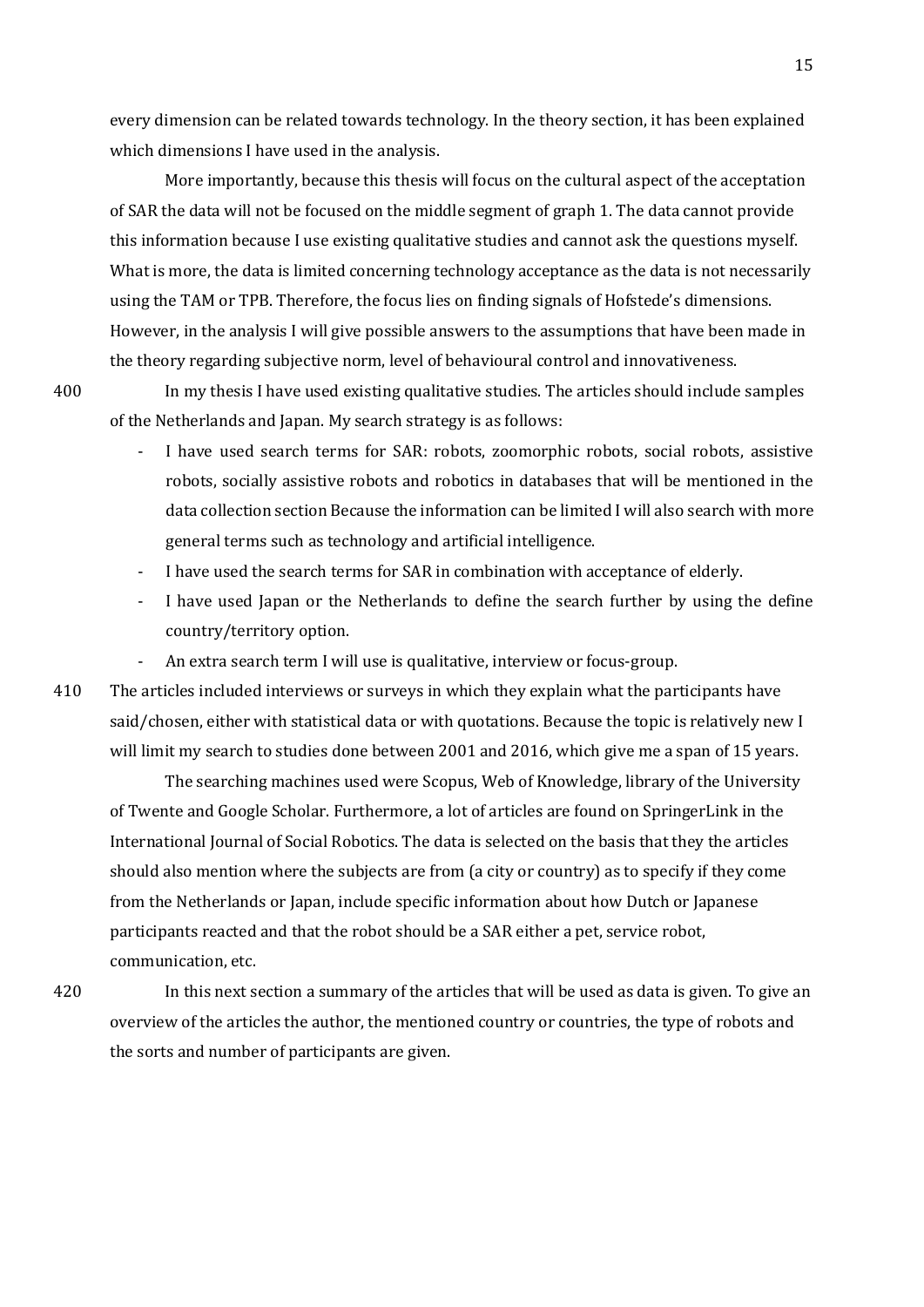every dimension can be related towards technology. In the theory section, it has been explained which dimensions I have used in the analysis.

More importantly, because this thesis will focus on the cultural aspect of the acceptation of SAR the data will not be focused on the middle segment of graph 1. The data cannot provide this information because I use existing qualitative studies and cannot ask the questions myself. What is more, the data is limited concerning technology acceptance as the data is not necessarily using the TAM or TPB. Therefore, the focus lies on finding signals of Hofstede's dimensions. However, in the analysis I will give possible answers to the assumptions that have been made in the theory regarding subjective norm, level of behavioural control and innovativeness.

400 In my thesis I have used existing qualitative studies. The articles should include samples of the Netherlands and Japan. My search strategy is as follows:

- I have used search terms for SAR: robots, zoomorphic robots, social robots, assistive robots, socially assistive robots and robotics in databases that will be mentioned in the data collection section Because the information can be limited I will also search with more general terms such as technology and artificial intelligence.
- I have used the search terms for SAR in combination with acceptance of elderly.
- I have used Japan or the Netherlands to define the search further by using the define country/territory option.
- An extra search term I will use is qualitative, interview or focus-group.
- 410 The articles included interviews or surveys in which they explain what the participants have said/chosen, either with statistical data or with quotations. Because the topic is relatively new I will limit my search to studies done between 2001 and 2016, which give me a span of 15 years.

The searching machines used were Scopus, Web of Knowledge, library of the University of Twente and Google Scholar. Furthermore, a lot of articles are found on SpringerLink in the International Journal of Social Robotics. The data is selected on the basis that they the articles should also mention where the subjects are from (a city or country) as to specify if they come from the Netherlands or Japan, include specific information about how Dutch or Japanese participants reacted and that the robot should be a SAR either a pet, service robot, communication, etc.

420 In this next section a summary of the articles that will be used as data is given. To give an overview of the articles the author, the mentioned country or countries, the type of robots and the sorts and number of participants are given.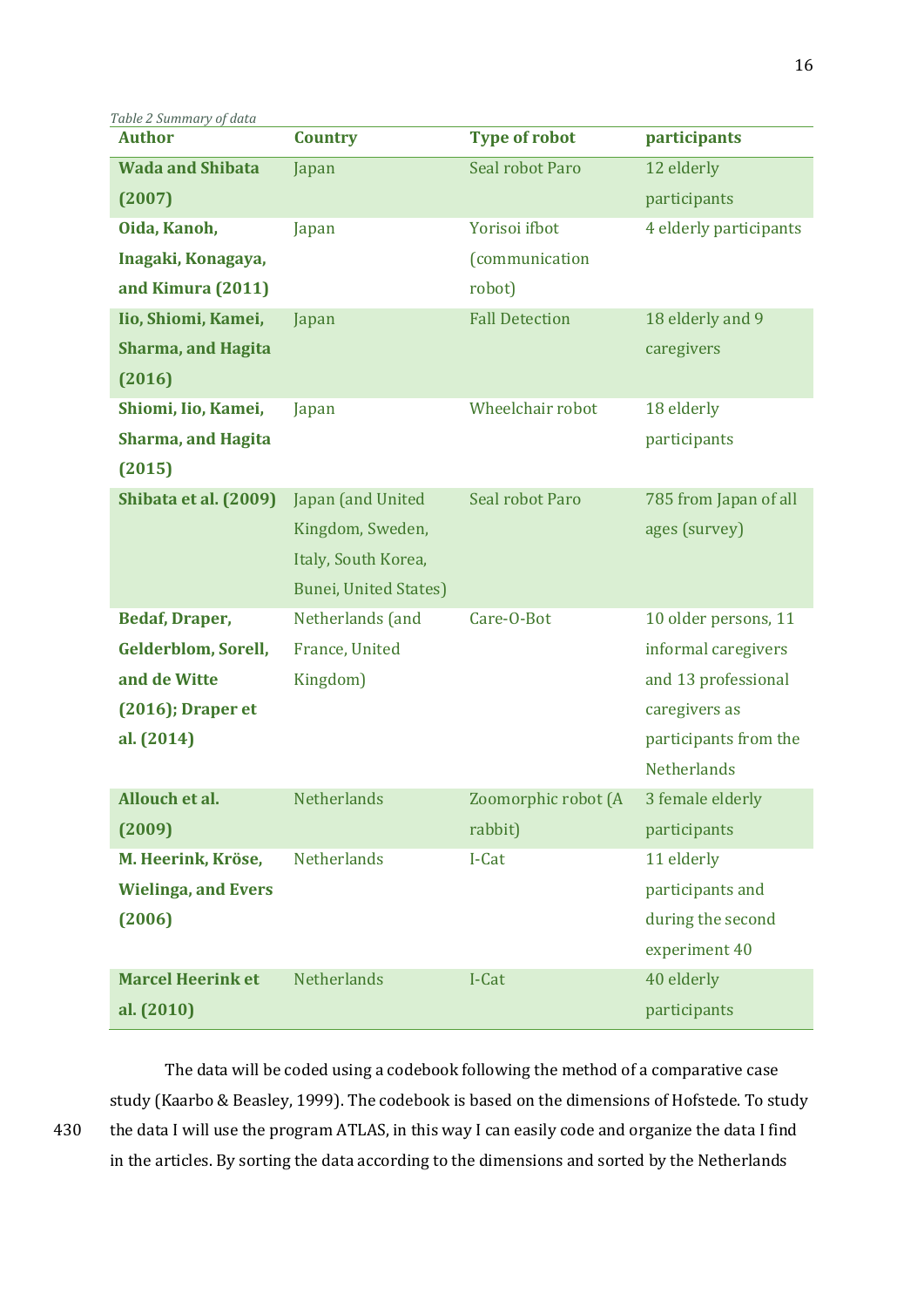*Table 2 Summary of data*

| <b>Author</b>              | <b>Country</b>               | <b>Type of robot</b>   | participants           |  |
|----------------------------|------------------------------|------------------------|------------------------|--|
| <b>Wada and Shibata</b>    | Japan                        | Seal robot Paro        | 12 elderly             |  |
| (2007)                     |                              |                        | participants           |  |
| Oida, Kanoh,               | Japan                        | Yorisoi ifbot          | 4 elderly participants |  |
| Inagaki, Konagaya,         |                              | <i>(communication)</i> |                        |  |
| and Kimura (2011)          |                              | robot)                 |                        |  |
| Iio, Shiomi, Kamei,        | Japan                        | <b>Fall Detection</b>  | 18 elderly and 9       |  |
| <b>Sharma, and Hagita</b>  |                              |                        | caregivers             |  |
| (2016)                     |                              |                        |                        |  |
| Shiomi, Iio, Kamei,        | Japan                        | Wheelchair robot       | 18 elderly             |  |
| <b>Sharma, and Hagita</b>  |                              |                        | participants           |  |
| (2015)                     |                              |                        |                        |  |
| Shibata et al. (2009)      | Japan (and United            | Seal robot Paro        | 785 from Japan of all  |  |
|                            | Kingdom, Sweden,             |                        | ages (survey)          |  |
|                            | Italy, South Korea,          |                        |                        |  |
|                            | <b>Bunei, United States)</b> |                        |                        |  |
| <b>Bedaf, Draper,</b>      | Netherlands (and             | Care-O-Bot             | 10 older persons, 11   |  |
| <b>Gelderblom, Sorell,</b> | France, United               |                        | informal caregivers    |  |
| and de Witte               | Kingdom)                     |                        | and 13 professional    |  |
| $(2016)$ ; Draper et       |                              |                        | caregivers as          |  |
| al. (2014)                 |                              |                        | participants from the  |  |
|                            |                              |                        | <b>Netherlands</b>     |  |
| Allouch et al.             | Netherlands                  | Zoomorphic robot (A    | 3 female elderly       |  |
| (2009)                     |                              | rabbit)                | participants           |  |
| M. Heerink, Kröse,         | Netherlands                  | I-Cat                  | 11 elderly             |  |
| <b>Wielinga, and Evers</b> |                              |                        | participants and       |  |
| (2006)                     |                              |                        | during the second      |  |
|                            |                              |                        | experiment 40          |  |
| <b>Marcel Heerink et</b>   | Netherlands                  | I-Cat                  | 40 elderly             |  |
| al. (2010)                 |                              |                        | participants           |  |

The data will be coded using a codebook following the method of a comparative case study (Kaarbo & Beasley, 1999). The codebook is based on the dimensions of Hofstede. To study 430 the data I will use the program ATLAS, in this way I can easily code and organize the data I find in the articles. By sorting the data according to the dimensions and sorted by the Netherlands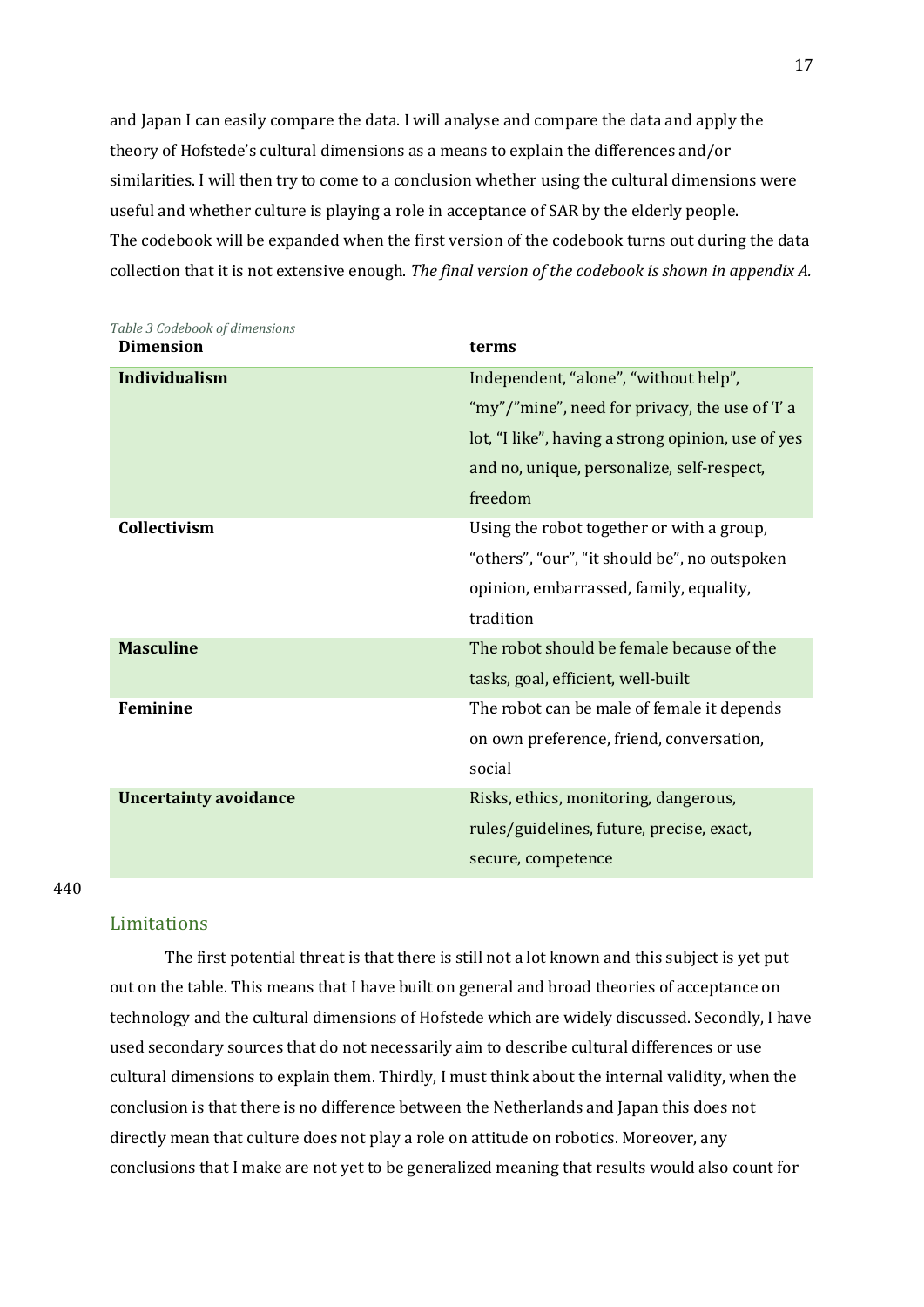and Japan I can easily compare the data. I will analyse and compare the data and apply the theory of Hofstede's cultural dimensions as a means to explain the differences and/or similarities. I will then try to come to a conclusion whether using the cultural dimensions were useful and whether culture is playing a role in acceptance of SAR by the elderly people. The codebook will be expanded when the first version of the codebook turns out during the data collection that it is not extensive enough. *The final version of the codebook is shown in appendix A.*

| Table 3 Codebook of dimensions<br><b>Dimension</b> | terms                                              |  |  |
|----------------------------------------------------|----------------------------------------------------|--|--|
| <b>Individualism</b>                               | Independent, "alone", "without help",              |  |  |
|                                                    | "my"/"mine", need for privacy, the use of 'I' a    |  |  |
|                                                    | lot, "I like", having a strong opinion, use of yes |  |  |
|                                                    | and no, unique, personalize, self-respect,         |  |  |
|                                                    | freedom                                            |  |  |
| Collectivism                                       | Using the robot together or with a group,          |  |  |
|                                                    | "others", "our", "it should be", no outspoken      |  |  |
|                                                    | opinion, embarrassed, family, equality,            |  |  |
|                                                    | tradition                                          |  |  |
| <b>Masculine</b>                                   | The robot should be female because of the          |  |  |
|                                                    | tasks, goal, efficient, well-built                 |  |  |
| <b>Feminine</b>                                    | The robot can be male of female it depends         |  |  |
|                                                    | on own preference, friend, conversation,           |  |  |
|                                                    | social                                             |  |  |
| <b>Uncertainty avoidance</b>                       | Risks, ethics, monitoring, dangerous,              |  |  |
|                                                    | rules/guidelines, future, precise, exact,          |  |  |
|                                                    | secure, competence                                 |  |  |

#### 440

#### <span id="page-16-0"></span>Limitations

The first potential threat is that there is still not a lot known and this subject is yet put out on the table. This means that I have built on general and broad theories of acceptance on technology and the cultural dimensions of Hofstede which are widely discussed. Secondly, I have used secondary sources that do not necessarily aim to describe cultural differences or use cultural dimensions to explain them. Thirdly, I must think about the internal validity, when the conclusion is that there is no difference between the Netherlands and Japan this does not directly mean that culture does not play a role on attitude on robotics. Moreover, any conclusions that I make are not yet to be generalized meaning that results would also count for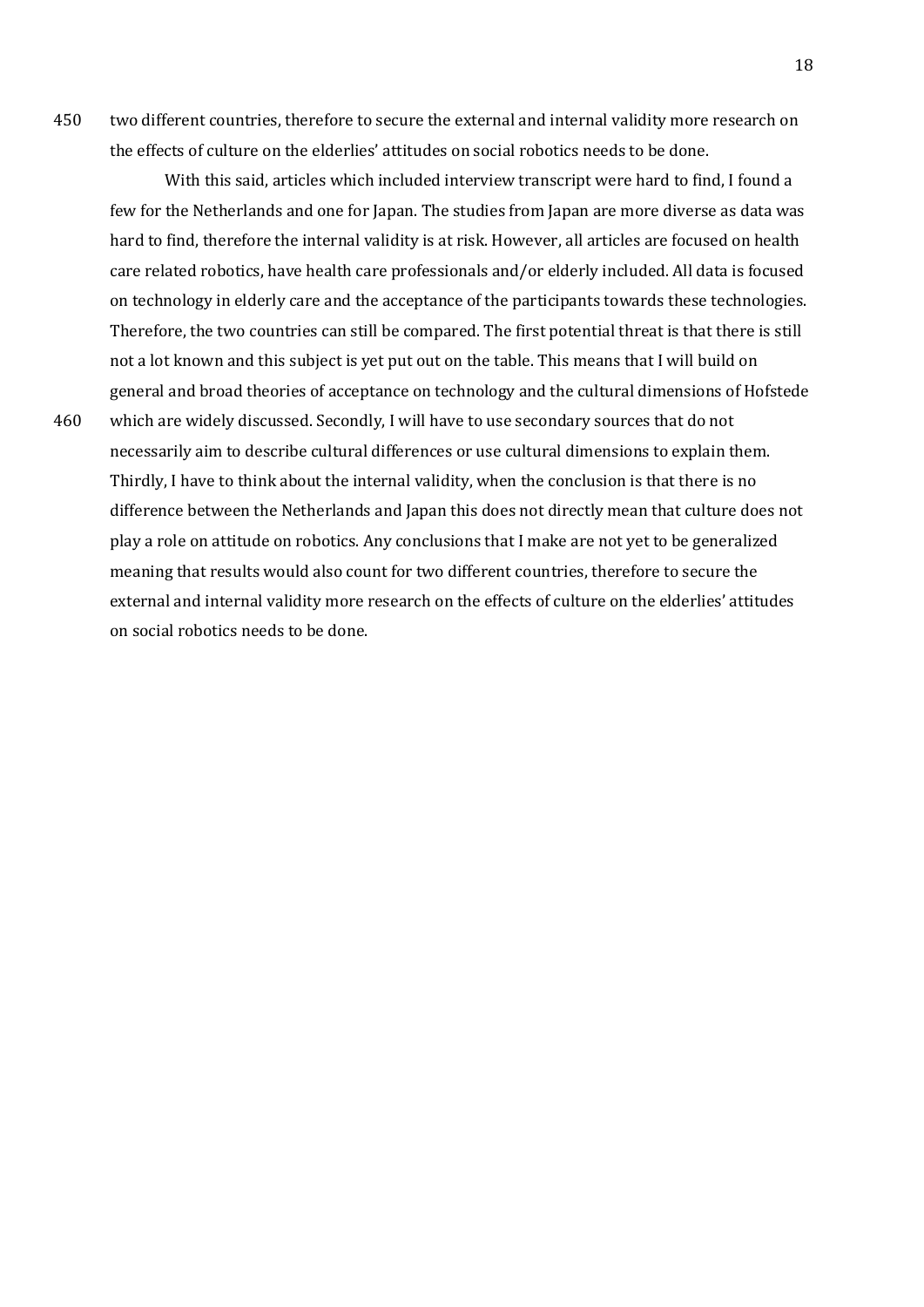450 two different countries, therefore to secure the external and internal validity more research on the effects of culture on the elderlies' attitudes on social robotics needs to be done.

With this said, articles which included interview transcript were hard to find, I found a few for the Netherlands and one for Japan. The studies from Japan are more diverse as data was hard to find, therefore the internal validity is at risk. However, all articles are focused on health care related robotics, have health care professionals and/or elderly included. All data is focused on technology in elderly care and the acceptance of the participants towards these technologies. Therefore, the two countries can still be compared. The first potential threat is that there is still not a lot known and this subject is yet put out on the table. This means that I will build on general and broad theories of acceptance on technology and the cultural dimensions of Hofstede 460 which are widely discussed. Secondly, I will have to use secondary sources that do not necessarily aim to describe cultural differences or use cultural dimensions to explain them. Thirdly, I have to think about the internal validity, when the conclusion is that there is no difference between the Netherlands and Japan this does not directly mean that culture does not play a role on attitude on robotics. Any conclusions that I make are not yet to be generalized meaning that results would also count for two different countries, therefore to secure the external and internal validity more research on the effects of culture on the elderlies' attitudes on social robotics needs to be done.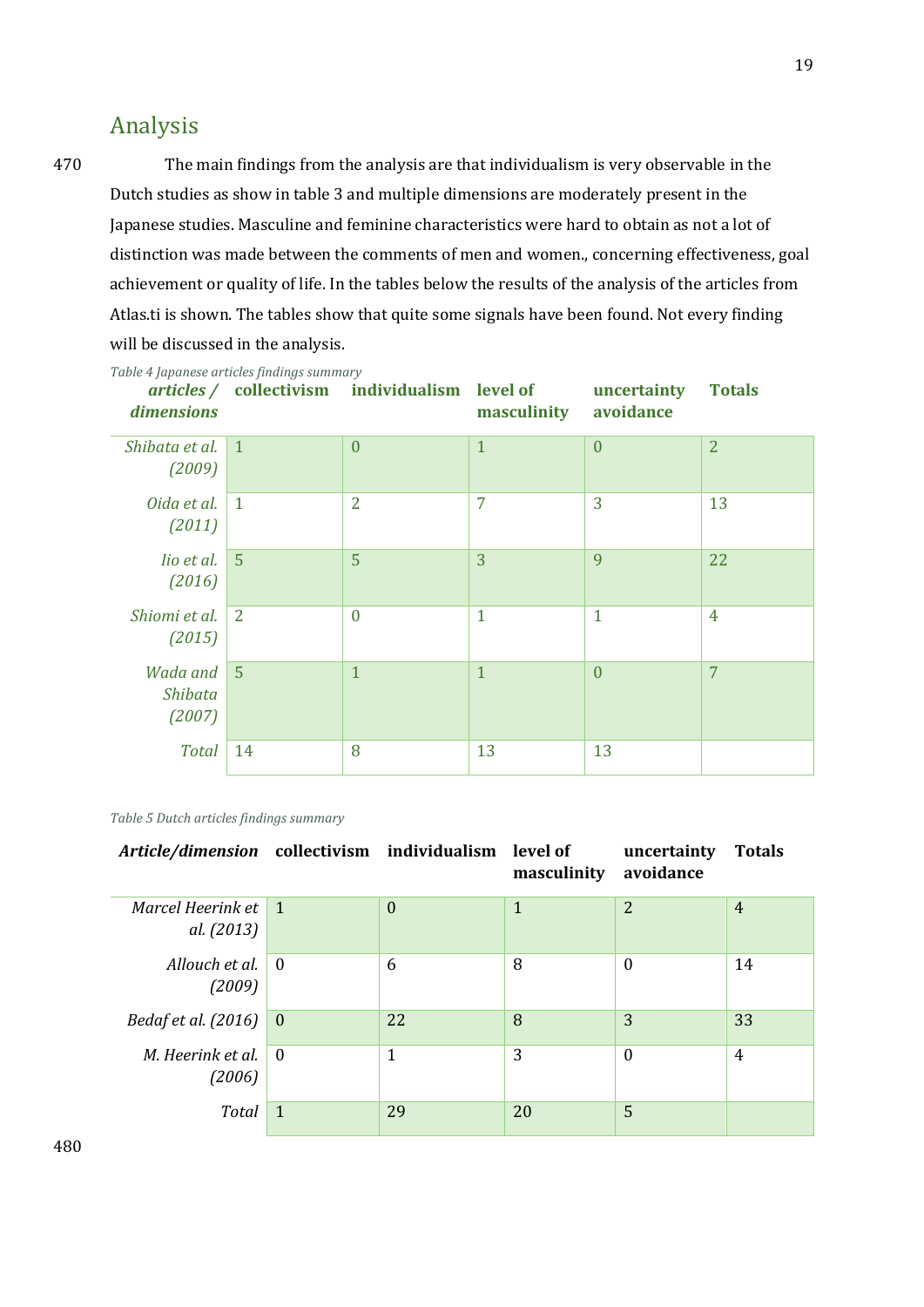## <span id="page-18-0"></span>Analysis

470 The main findings from the analysis are that individualism is very observable in the Dutch studies as show in table 3 and multiple dimensions are moderately present in the Japanese studies. Masculine and feminine characteristics were hard to obtain as not a lot of distinction was made between the comments of men and women., concerning effectiveness, goal achievement or quality of life. In the tables below the results of the analysis of the articles from Atlas.ti is shown. The tables show that quite some signals have been found. Not every finding will be discussed in the analysis.

| dimensions                    |                | articles / collectivism individualism level of | masculinity  | uncertainty<br>avoidance | <b>Totals</b>  |
|-------------------------------|----------------|------------------------------------------------|--------------|--------------------------|----------------|
| Shibata et al.<br>(2009)      | $\overline{1}$ | $\overline{0}$                                 | $\mathbf{1}$ | $\overline{0}$           | $\overline{2}$ |
| Oida et al.<br>(2011)         | $\overline{1}$ | $\overline{2}$                                 | 7            | 3                        | 13             |
| lio et al.<br>(2016)          | $-5$           | 5                                              | 3            | 9                        | 22             |
| Shiomi et al.<br>(2015)       | <sup>2</sup>   | $\theta$                                       | $\mathbf{1}$ | $\mathbf{1}$             | $\overline{4}$ |
| Wada and<br>Shibata<br>(2007) | $\overline{5}$ | $\overline{1}$                                 | $\mathbf{1}$ | $\overline{0}$           | 7              |
| <b>Total</b>                  | 14             | 8                                              | 13           | 13                       |                |

*Table 4 Japanese articles findings summary*

*Table 5 Dutch articles findings summary*

| Article/dimension collectivism individualism level of |                |                | masculinity  | uncertainty<br>avoidance | <b>Totals</b>  |
|-------------------------------------------------------|----------------|----------------|--------------|--------------------------|----------------|
| Marcel Heerink et 1<br>al. (2013)                     |                | $\overline{0}$ | $\mathbf{1}$ | $\overline{2}$           | $\overline{4}$ |
| Allouch et al.<br>(2009)                              | $\overline{0}$ | 6              | 8            | $\theta$                 | 14             |
| Bedaf et al. (2016)                                   | $\theta$       | 22             | 8            | 3                        | 33             |
| M. Heerink et al.<br>(2006)                           | $\theta$       | 1              | 3            | $\theta$                 | 4              |
| <b>Total</b>                                          | $\mathbf{1}$   | 29             | 20           | 5                        |                |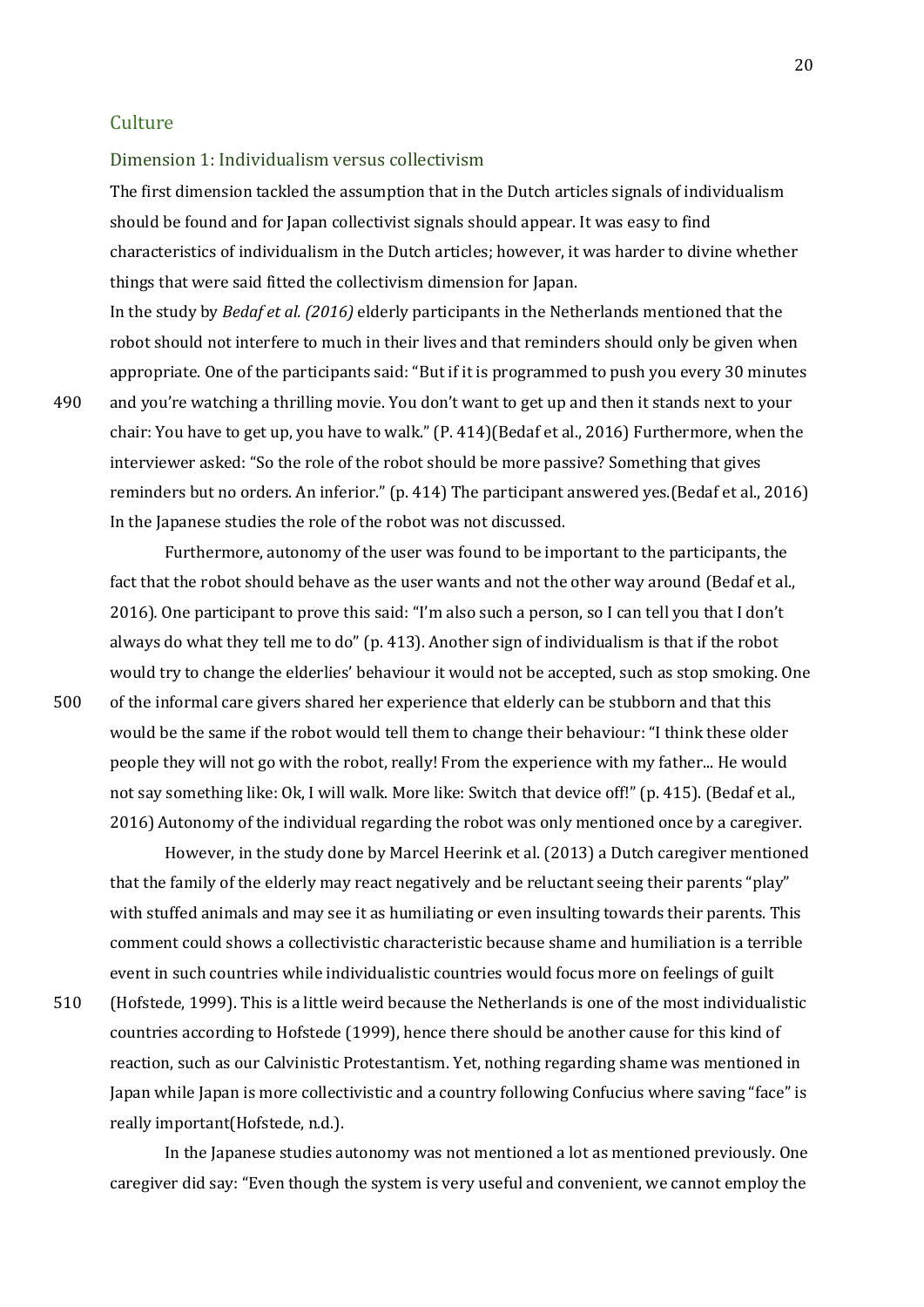#### <span id="page-19-0"></span>**Culture**

<span id="page-19-1"></span>Dimension 1: Individualism versus collectivism

The first dimension tackled the assumption that in the Dutch articles signals of individualism should be found and for Japan collectivist signals should appear. It was easy to find characteristics of individualism in the Dutch articles; however, it was harder to divine whether things that were said fitted the collectivism dimension for Japan.

In the study by *Bedaf et al. (2016)* elderly participants in the Netherlands mentioned that the robot should not interfere to much in their lives and that reminders should only be given when appropriate. One of the participants said: "But if it is programmed to push you every 30 minutes 490 and you're watching a thrilling movie. You don't want to get up and then it stands next to your chair: You have to get up, you have to walk." (P. 414)(Bedaf et al., 2016) Furthermore, when the interviewer asked: "So the role of the robot should be more passive? Something that gives reminders but no orders. An inferior." (p. 414) The participant answered yes.(Bedaf et al., 2016) In the Japanese studies the role of the robot was not discussed.

Furthermore, autonomy of the user was found to be important to the participants, the fact that the robot should behave as the user wants and not the other way around (Bedaf et al., 2016)*.* One participant to prove this said: "I'm also such a person, so I can tell you that I don't always do what they tell me to do" (p. 413). Another sign of individualism is that if the robot would try to change the elderlies' behaviour it would not be accepted, such as stop smoking. One 500 of the informal care givers shared her experience that elderly can be stubborn and that this would be the same if the robot would tell them to change their behaviour: "I think these older people they will not go with the robot, really! From the experience with my father... He would not say something like: Ok, I will walk. More like: Switch that device off!" (p. 415). (Bedaf et al., 2016) Autonomy of the individual regarding the robot was only mentioned once by a caregiver.

However, in the study done by Marcel Heerink et al. (2013) a Dutch caregiver mentioned that the family of the elderly may react negatively and be reluctant seeing their parents "play" with stuffed animals and may see it as humiliating or even insulting towards their parents. This comment could shows a collectivistic characteristic because shame and humiliation is a terrible event in such countries while individualistic countries would focus more on feelings of guilt

510 (Hofstede, 1999). This is a little weird because the Netherlands is one of the most individualistic countries according to Hofstede (1999), hence there should be another cause for this kind of reaction, such as our Calvinistic Protestantism. Yet, nothing regarding shame was mentioned in Japan while Japan is more collectivistic and a country following Confucius where saving "face" is really important(Hofstede, n.d.).

In the Japanese studies autonomy was not mentioned a lot as mentioned previously. One caregiver did say: "Even though the system is very useful and convenient, we cannot employ the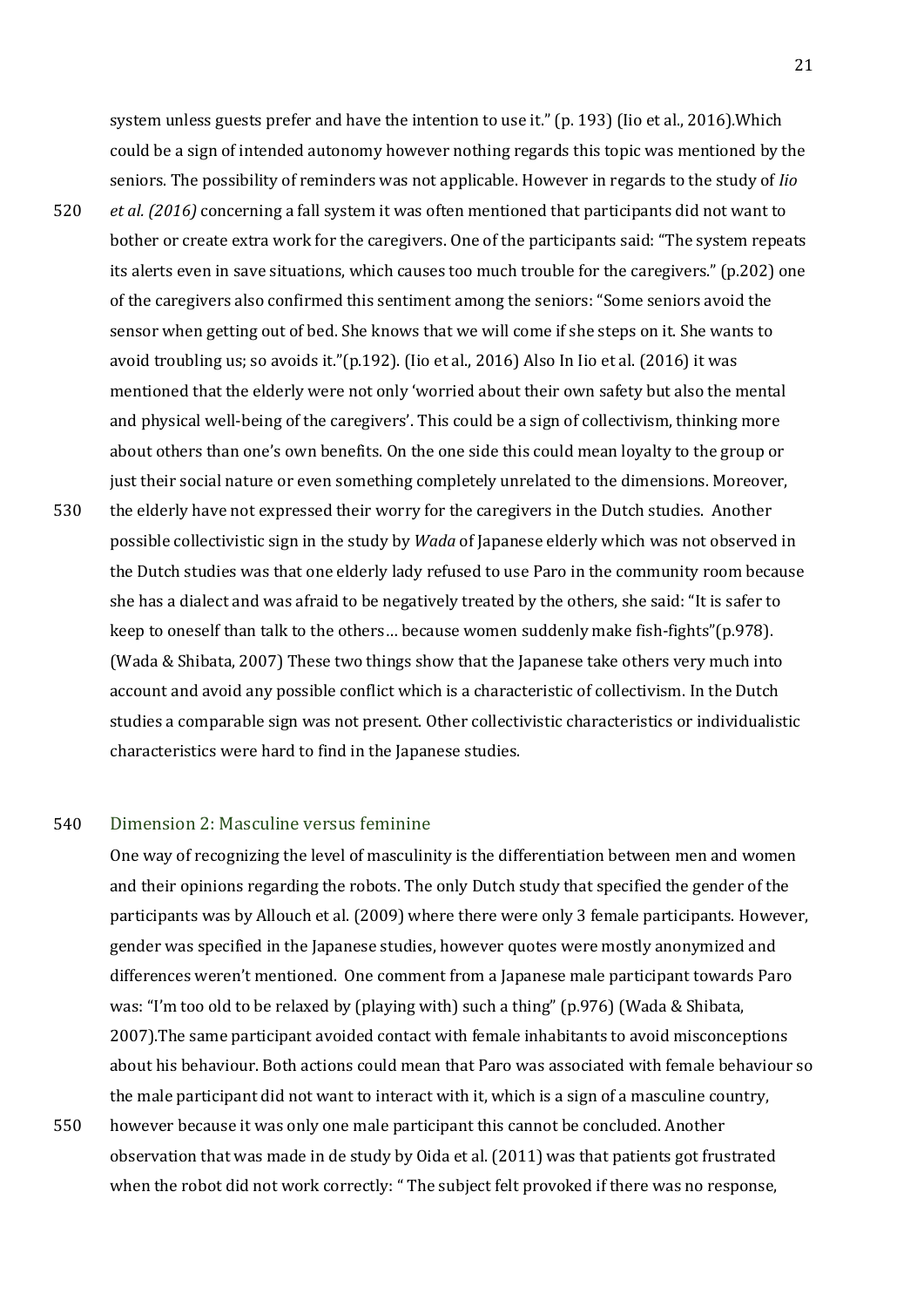system unless guests prefer and have the intention to use it." (p. 193) (Iio et al., 2016)*.*Which could be a sign of intended autonomy however nothing regards this topic was mentioned by the seniors. The possibility of reminders was not applicable. However in regards to the study of *Iio* 

- 520 *et al. (2016)* concerning a fall system it was often mentioned that participants did not want to bother or create extra work for the caregivers. One of the participants said: "The system repeats its alerts even in save situations, which causes too much trouble for the caregivers." (p.202) one of the caregivers also confirmed this sentiment among the seniors: "Some seniors avoid the sensor when getting out of bed. She knows that we will come if she steps on it. She wants to avoid troubling us; so avoids it."(p.192). (Iio et al., 2016) Also In Iio et al. (2016) it was mentioned that the elderly were not only 'worried about their own safety but also the mental and physical well-being of the caregivers'. This could be a sign of collectivism, thinking more about others than one's own benefits. On the one side this could mean loyalty to the group or just their social nature or even something completely unrelated to the dimensions. Moreover,
- 530 the elderly have not expressed their worry for the caregivers in the Dutch studies. Another possible collectivistic sign in the study by *Wada* of Japanese elderly which was not observed in the Dutch studies was that one elderly lady refused to use Paro in the community room because she has a dialect and was afraid to be negatively treated by the others, she said: "It is safer to keep to oneself than talk to the others… because women suddenly make fish-fights"(p.978). (Wada & Shibata, 2007) These two things show that the Japanese take others very much into account and avoid any possible conflict which is a characteristic of collectivism. In the Dutch studies a comparable sign was not present. Other collectivistic characteristics or individualistic characteristics were hard to find in the Japanese studies.

#### 540 Dimension 2: Masculine versus feminine

<span id="page-20-0"></span>One way of recognizing the level of masculinity is the differentiation between men and women and their opinions regarding the robots. The only Dutch study that specified the gender of the participants was by Allouch et al. (2009) where there were only 3 female participants. However, gender was specified in the Japanese studies, however quotes were mostly anonymized and differences weren't mentioned. One comment from a Japanese male participant towards Paro was: "I'm too old to be relaxed by (playing with) such a thing" (p.976) (Wada & Shibata, 2007).The same participant avoided contact with female inhabitants to avoid misconceptions about his behaviour. Both actions could mean that Paro was associated with female behaviour so the male participant did not want to interact with it, which is a sign of a masculine country,

550 however because it was only one male participant this cannot be concluded. Another observation that was made in de study by Oida et al. (2011) was that patients got frustrated when the robot did not work correctly: " The subject felt provoked if there was no response,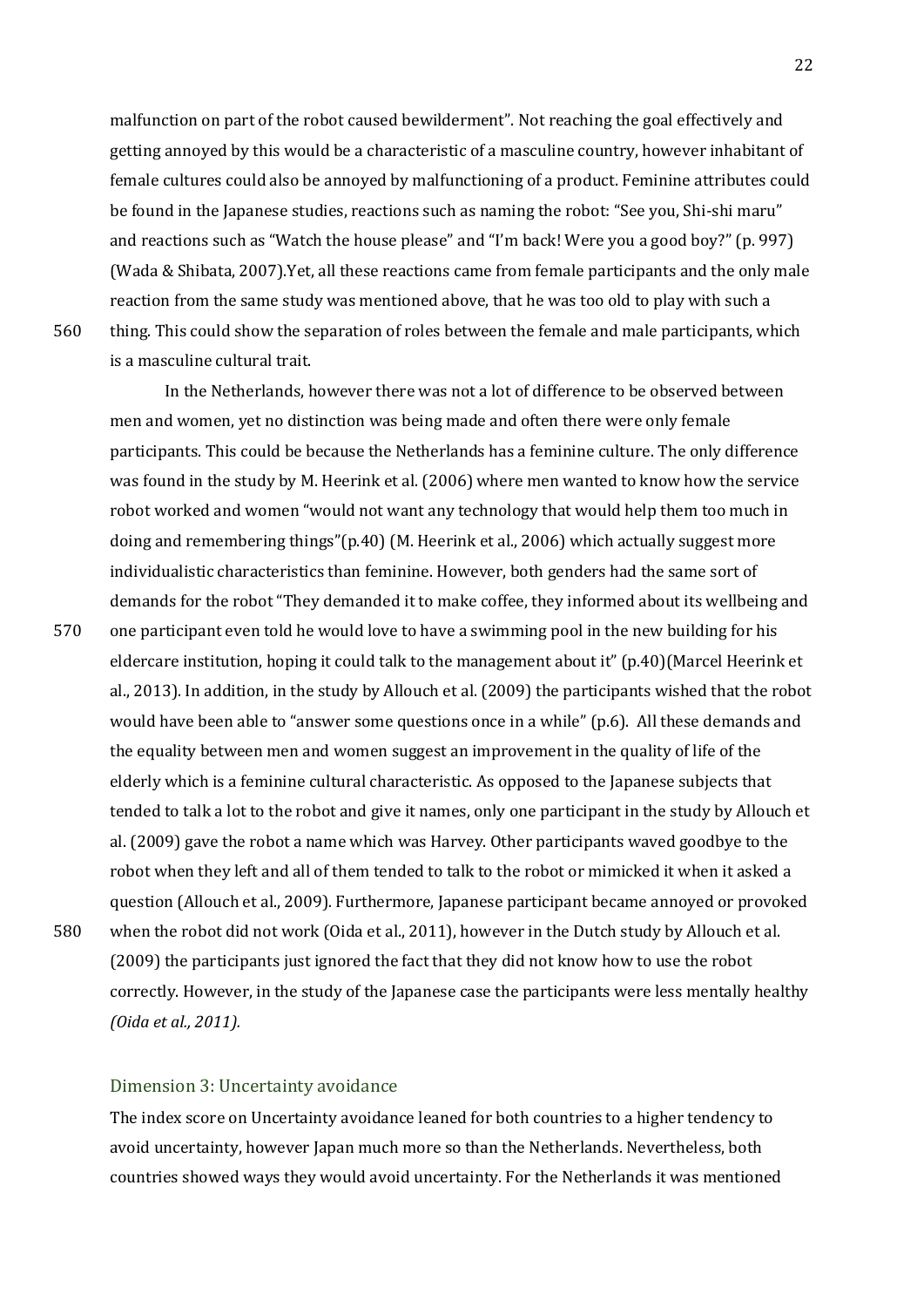malfunction on part of the robot caused bewilderment". Not reaching the goal effectively and getting annoyed by this would be a characteristic of a masculine country, however inhabitant of female cultures could also be annoyed by malfunctioning of a product. Feminine attributes could be found in the Japanese studies, reactions such as naming the robot: "See you, Shi-shi maru" and reactions such as "Watch the house please" and "I'm back! Were you a good boy?" (p. 997) (Wada & Shibata, 2007).Yet, all these reactions came from female participants and the only male reaction from the same study was mentioned above, that he was too old to play with such a 560 thing. This could show the separation of roles between the female and male participants, which is a masculine cultural trait.

In the Netherlands, however there was not a lot of difference to be observed between men and women, yet no distinction was being made and often there were only female participants. This could be because the Netherlands has a feminine culture. The only difference was found in the study by M. Heerink et al. (2006) where men wanted to know how the service robot worked and women "would not want any technology that would help them too much in doing and remembering things"(p.40) (M. Heerink et al., 2006) which actually suggest more individualistic characteristics than feminine. However, both genders had the same sort of demands for the robot "They demanded it to make coffee, they informed about its wellbeing and 570 one participant even told he would love to have a swimming pool in the new building for his eldercare institution, hoping it could talk to the management about it" (p.40)(Marcel Heerink et al., 2013). In addition, in the study by Allouch et al. (2009) the participants wished that the robot would have been able to "answer some questions once in a while" (p.6). All these demands and the equality between men and women suggest an improvement in the quality of life of the elderly which is a feminine cultural characteristic. As opposed to the Japanese subjects that tended to talk a lot to the robot and give it names, only one participant in the study by Allouch et al. (2009) gave the robot a name which was Harvey. Other participants waved goodbye to the robot when they left and all of them tended to talk to the robot or mimicked it when it asked a question (Allouch et al., 2009)*.* Furthermore, Japanese participant became annoyed or provoked 580 when the robot did not work (Oida et al., 2011), however in the Dutch study by Allouch et al. (2009) the participants just ignored the fact that they did not know how to use the robot correctly. However, in the study of the Japanese case the participants were less mentally healthy *(Oida et al., 2011).*

#### <span id="page-21-0"></span>Dimension 3: Uncertainty avoidance

The index score on Uncertainty avoidance leaned for both countries to a higher tendency to avoid uncertainty, however Japan much more so than the Netherlands. Nevertheless, both countries showed ways they would avoid uncertainty. For the Netherlands it was mentioned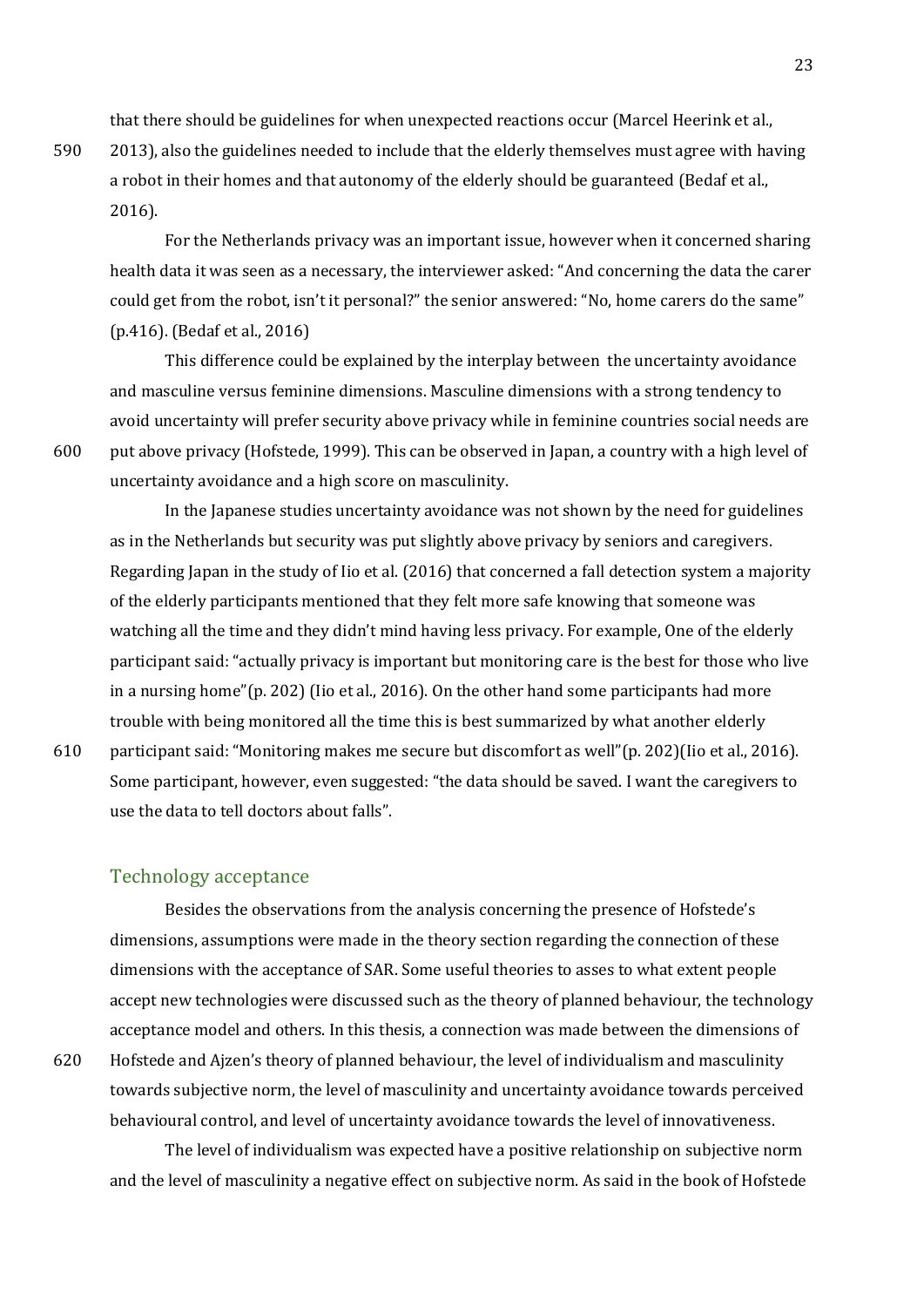that there should be guidelines for when unexpected reactions occur (Marcel Heerink et al.,

590 2013), also the guidelines needed to include that the elderly themselves must agree with having a robot in their homes and that autonomy of the elderly should be guaranteed (Bedaf et al., 2016).

For the Netherlands privacy was an important issue, however when it concerned sharing health data it was seen as a necessary, the interviewer asked: "And concerning the data the carer could get from the robot, isn't it personal?" the senior answered: "No, home carers do the same" (p.416). (Bedaf et al., 2016)

This difference could be explained by the interplay between the uncertainty avoidance and masculine versus feminine dimensions. Masculine dimensions with a strong tendency to avoid uncertainty will prefer security above privacy while in feminine countries social needs are 600 put above privacy (Hofstede, 1999). This can be observed in Japan, a country with a high level of uncertainty avoidance and a high score on masculinity.

In the Japanese studies uncertainty avoidance was not shown by the need for guidelines as in the Netherlands but security was put slightly above privacy by seniors and caregivers. Regarding Japan in the study of Iio et al. (2016) that concerned a fall detection system a majority of the elderly participants mentioned that they felt more safe knowing that someone was watching all the time and they didn't mind having less privacy. For example, One of the elderly participant said: "actually privacy is important but monitoring care is the best for those who live in a nursing home"(p. 202) (Iio et al., 2016). On the other hand some participants had more trouble with being monitored all the time this is best summarized by what another elderly

610 participant said: "Monitoring makes me secure but discomfort as well"(p. 202)(Iio et al., 2016). Some participant, however, even suggested: "the data should be saved. I want the caregivers to use the data to tell doctors about falls".

#### <span id="page-22-0"></span>Technology acceptance

Besides the observations from the analysis concerning the presence of Hofstede's dimensions, assumptions were made in the theory section regarding the connection of these dimensions with the acceptance of SAR. Some useful theories to asses to what extent people accept new technologies were discussed such as the theory of planned behaviour, the technology acceptance model and others. In this thesis, a connection was made between the dimensions of 620 Hofstede and Ajzen's theory of planned behaviour, the level of individualism and masculinity towards subjective norm, the level of masculinity and uncertainty avoidance towards perceived behavioural control, and level of uncertainty avoidance towards the level of innovativeness.

The level of individualism was expected have a positive relationship on subjective norm and the level of masculinity a negative effect on subjective norm. As said in the book of Hofstede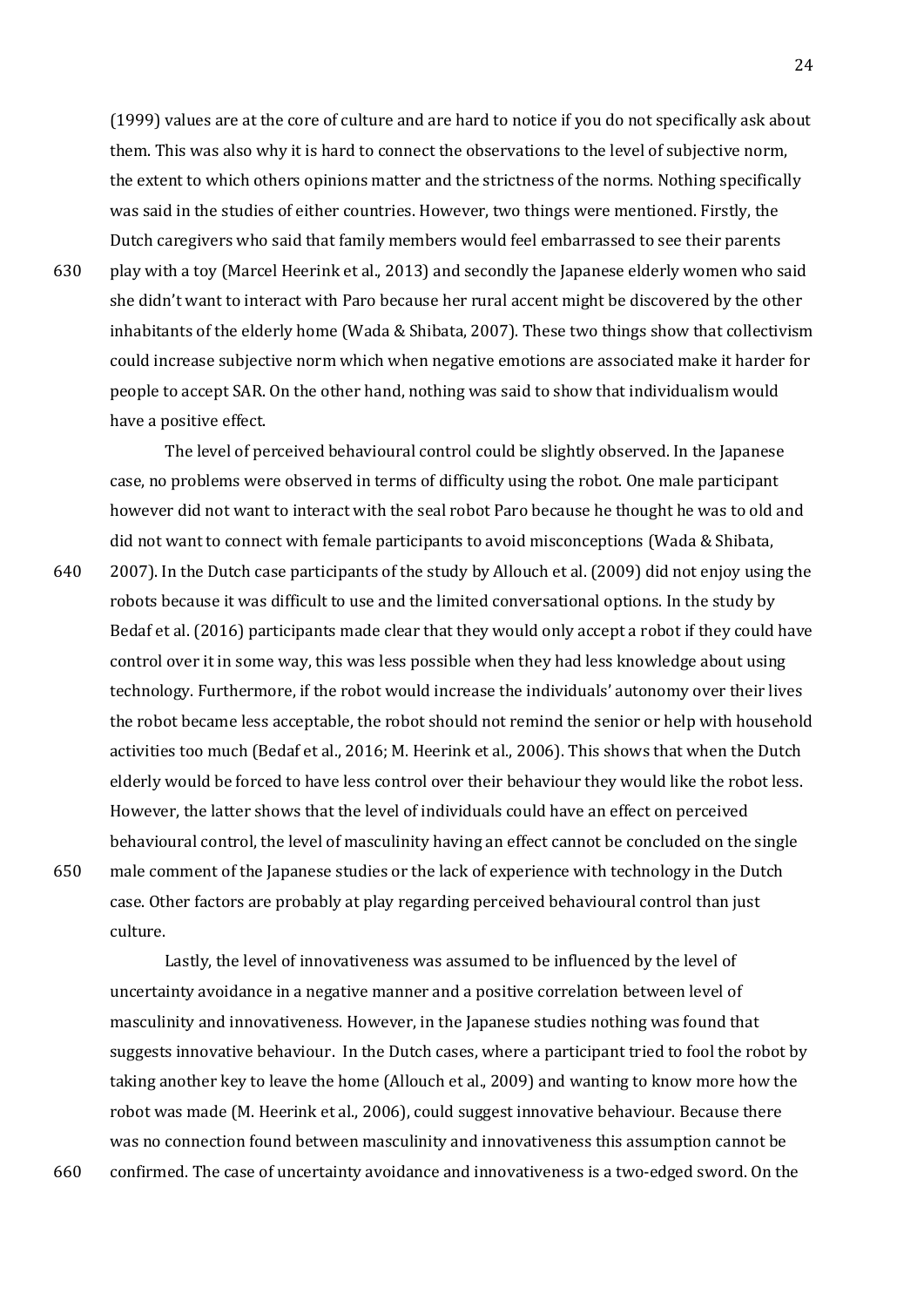(1999) values are at the core of culture and are hard to notice if you do not specifically ask about them. This was also why it is hard to connect the observations to the level of subjective norm, the extent to which others opinions matter and the strictness of the norms. Nothing specifically was said in the studies of either countries. However, two things were mentioned. Firstly, the Dutch caregivers who said that family members would feel embarrassed to see their parents 630 play with a toy (Marcel Heerink et al., 2013) and secondly the Japanese elderly women who said she didn't want to interact with Paro because her rural accent might be discovered by the other inhabitants of the elderly home (Wada & Shibata, 2007). These two things show that collectivism could increase subjective norm which when negative emotions are associated make it harder for people to accept SAR. On the other hand, nothing was said to show that individualism would

The level of perceived behavioural control could be slightly observed. In the Japanese case, no problems were observed in terms of difficulty using the robot. One male participant however did not want to interact with the seal robot Paro because he thought he was to old and did not want to connect with female participants to avoid misconceptions (Wada & Shibata,

640 2007). In the Dutch case participants of the study by Allouch et al. (2009) did not enjoy using the robots because it was difficult to use and the limited conversational options. In the study by Bedaf et al. (2016) participants made clear that they would only accept a robot if they could have control over it in some way, this was less possible when they had less knowledge about using technology. Furthermore, if the robot would increase the individuals' autonomy over their lives the robot became less acceptable, the robot should not remind the senior or help with household activities too much (Bedaf et al., 2016; M. Heerink et al., 2006). This shows that when the Dutch elderly would be forced to have less control over their behaviour they would like the robot less. However, the latter shows that the level of individuals could have an effect on perceived behavioural control, the level of masculinity having an effect cannot be concluded on the single 650 male comment of the Japanese studies or the lack of experience with technology in the Dutch case. Other factors are probably at play regarding perceived behavioural control than just culture.

Lastly, the level of innovativeness was assumed to be influenced by the level of uncertainty avoidance in a negative manner and a positive correlation between level of masculinity and innovativeness. However, in the Japanese studies nothing was found that suggests innovative behaviour. In the Dutch cases, where a participant tried to fool the robot by taking another key to leave the home (Allouch et al., 2009) and wanting to know more how the robot was made (M. Heerink et al., 2006), could suggest innovative behaviour. Because there was no connection found between masculinity and innovativeness this assumption cannot be 660 confirmed. The case of uncertainty avoidance and innovativeness is a two-edged sword. On the

have a positive effect.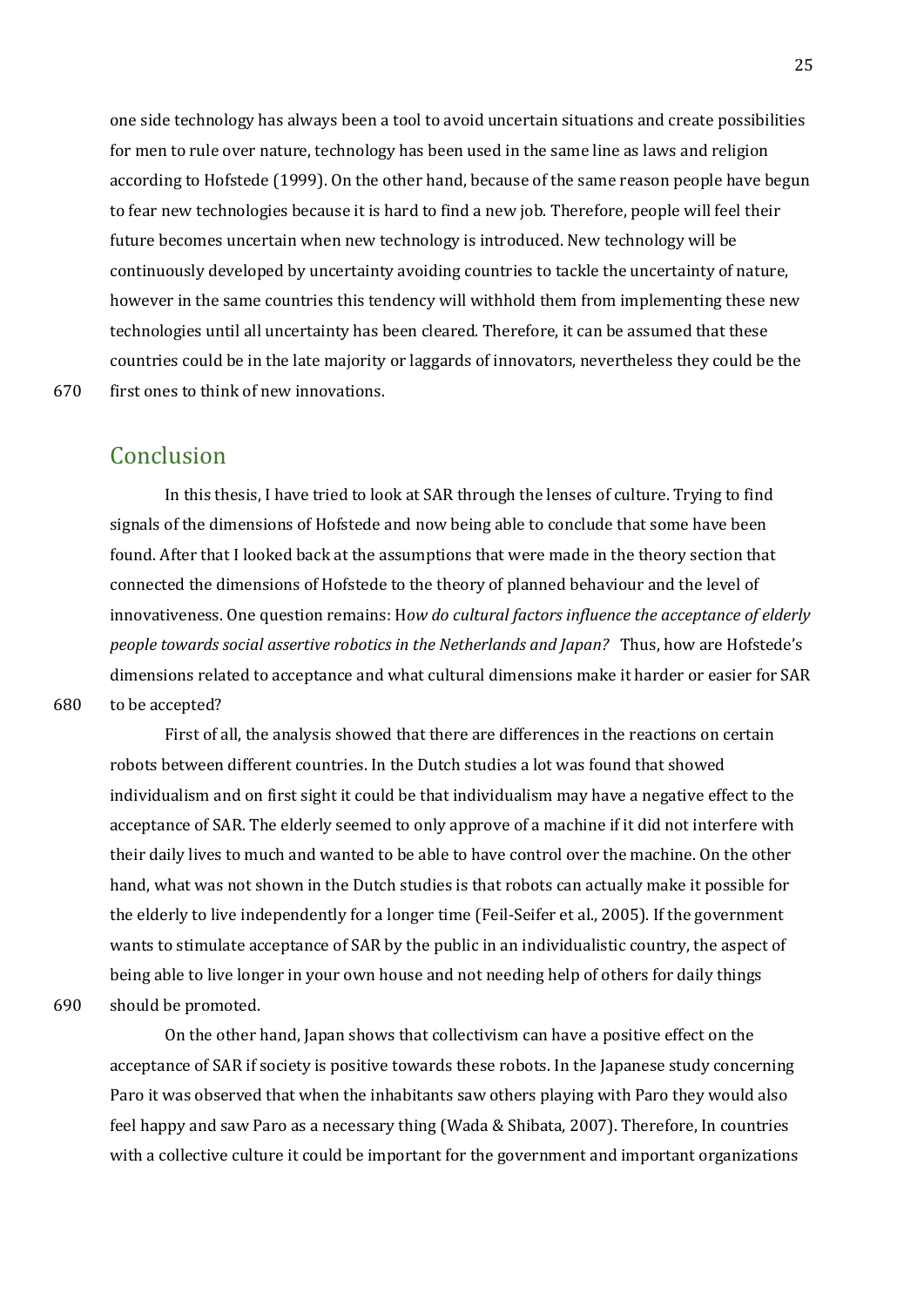one side technology has always been a tool to avoid uncertain situations and create possibilities for men to rule over nature, technology has been used in the same line as laws and religion according to Hofstede (1999). On the other hand, because of the same reason people have begun to fear new technologies because it is hard to find a new job. Therefore, people will feel their future becomes uncertain when new technology is introduced. New technology will be continuously developed by uncertainty avoiding countries to tackle the uncertainty of nature, however in the same countries this tendency will withhold them from implementing these new technologies until all uncertainty has been cleared. Therefore, it can be assumed that these countries could be in the late majority or laggards of innovators, nevertheless they could be the 670 first ones to think of new innovations.

## <span id="page-24-0"></span>Conclusion

In this thesis, I have tried to look at SAR through the lenses of culture. Trying to find signals of the dimensions of Hofstede and now being able to conclude that some have been found. After that I looked back at the assumptions that were made in the theory section that connected the dimensions of Hofstede to the theory of planned behaviour and the level of innovativeness. One question remains: H*ow do cultural factors influence the acceptance of elderly people towards social assertive robotics in the Netherlands and Japan?* Thus, how are Hofstede's dimensions related to acceptance and what cultural dimensions make it harder or easier for SAR 680 to be accepted?

First of all, the analysis showed that there are differences in the reactions on certain robots between different countries. In the Dutch studies a lot was found that showed individualism and on first sight it could be that individualism may have a negative effect to the acceptance of SAR. The elderly seemed to only approve of a machine if it did not interfere with their daily lives to much and wanted to be able to have control over the machine. On the other hand, what was not shown in the Dutch studies is that robots can actually make it possible for the elderly to live independently for a longer time (Feil-Seifer et al., 2005). If the government wants to stimulate acceptance of SAR by the public in an individualistic country, the aspect of being able to live longer in your own house and not needing help of others for daily things 690 should be promoted.

On the other hand, Japan shows that collectivism can have a positive effect on the acceptance of SAR if society is positive towards these robots. In the Japanese study concerning Paro it was observed that when the inhabitants saw others playing with Paro they would also feel happy and saw Paro as a necessary thing (Wada & Shibata, 2007). Therefore, In countries with a collective culture it could be important for the government and important organizations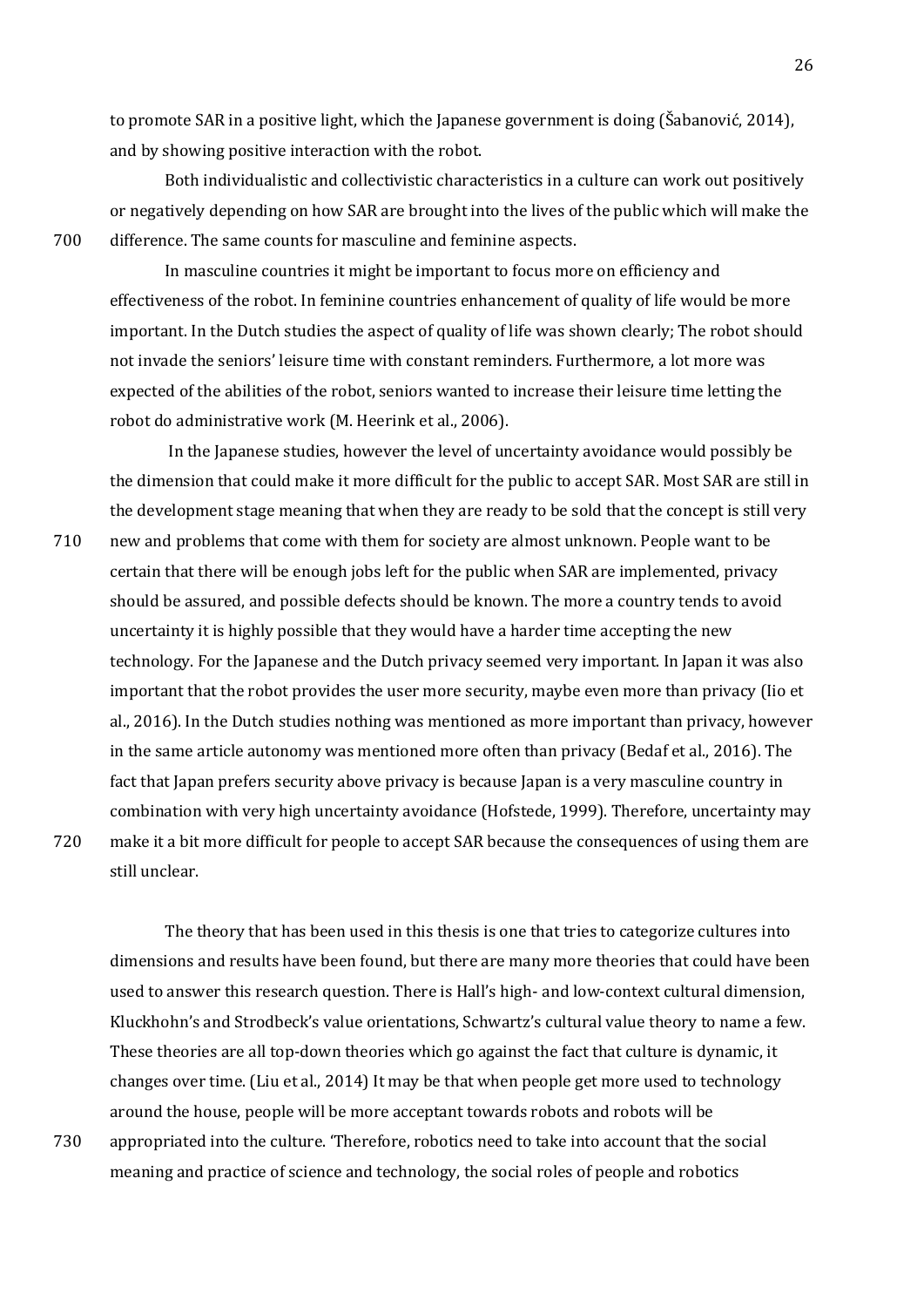to promote SAR in a positive light, which the Japanese government is doing (Šabanović, 2014), and by showing positive interaction with the robot.

Both individualistic and collectivistic characteristics in a culture can work out positively or negatively depending on how SAR are brought into the lives of the public which will make the 700 difference. The same counts for masculine and feminine aspects.

In masculine countries it might be important to focus more on efficiency and effectiveness of the robot. In feminine countries enhancement of quality of life would be more important. In the Dutch studies the aspect of quality of life was shown clearly; The robot should not invade the seniors' leisure time with constant reminders. Furthermore, a lot more was expected of the abilities of the robot, seniors wanted to increase their leisure time letting the robot do administrative work (M. Heerink et al., 2006).

In the Japanese studies, however the level of uncertainty avoidance would possibly be the dimension that could make it more difficult for the public to accept SAR. Most SAR are still in the development stage meaning that when they are ready to be sold that the concept is still very 710 new and problems that come with them for society are almost unknown. People want to be certain that there will be enough jobs left for the public when SAR are implemented, privacy should be assured, and possible defects should be known. The more a country tends to avoid uncertainty it is highly possible that they would have a harder time accepting the new technology. For the Japanese and the Dutch privacy seemed very important. In Japan it was also important that the robot provides the user more security, maybe even more than privacy (Iio et al., 2016). In the Dutch studies nothing was mentioned as more important than privacy, however in the same article autonomy was mentioned more often than privacy (Bedaf et al., 2016). The fact that Japan prefers security above privacy is because Japan is a very masculine country in combination with very high uncertainty avoidance (Hofstede, 1999). Therefore, uncertainty may 720 make it a bit more difficult for people to accept SAR because the consequences of using them are still unclear.

The theory that has been used in this thesis is one that tries to categorize cultures into dimensions and results have been found, but there are many more theories that could have been used to answer this research question. There is Hall's high- and low-context cultural dimension, Kluckhohn's and Strodbeck's value orientations, Schwartz's cultural value theory to name a few. These theories are all top-down theories which go against the fact that culture is dynamic, it changes over time. (Liu et al., 2014) It may be that when people get more used to technology around the house, people will be more acceptant towards robots and robots will be 730 appropriated into the culture. 'Therefore, robotics need to take into account that the social meaning and practice of science and technology, the social roles of people and robotics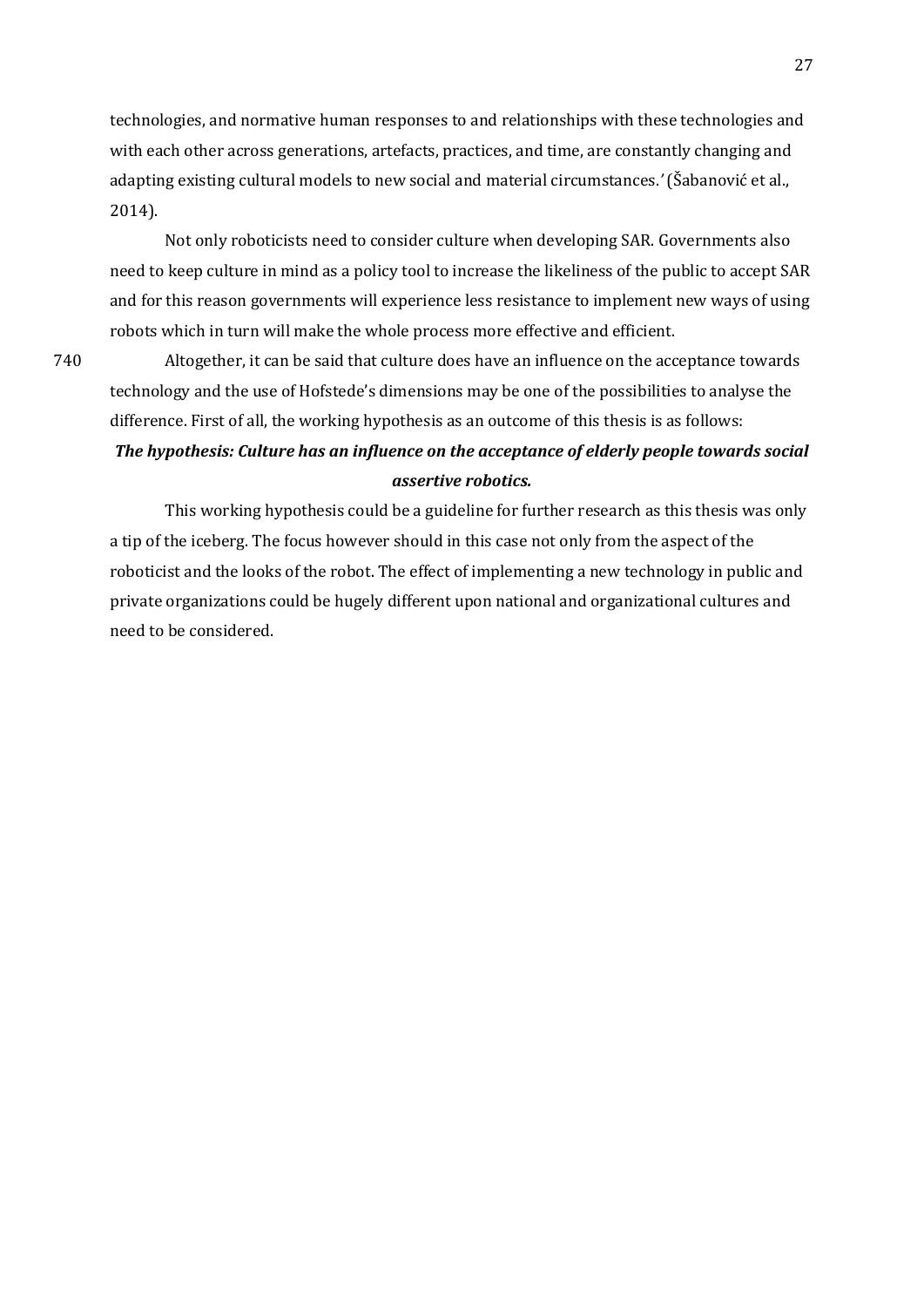technologies, and normative human responses to and relationships with these technologies and with each other across generations, artefacts, practices, and time, are constantly changing and adapting existing cultural models to new social and material circumstances.*'* (Šabanović et al., 2014).

Not only roboticists need to consider culture when developing SAR. Governments also need to keep culture in mind as a policy tool to increase the likeliness of the public to accept SAR and for this reason governments will experience less resistance to implement new ways of using robots which in turn will make the whole process more effective and efficient.

740 Altogether, it can be said that culture does have an influence on the acceptance towards technology and the use of Hofstede's dimensions may be one of the possibilities to analyse the difference. First of all, the working hypothesis as an outcome of this thesis is as follows: *The hypothesis: Culture has an influence on the acceptance of elderly people towards social assertive robotics.*

This working hypothesis could be a guideline for further research as this thesis was only a tip of the iceberg. The focus however should in this case not only from the aspect of the roboticist and the looks of the robot. The effect of implementing a new technology in public and private organizations could be hugely different upon national and organizational cultures and need to be considered.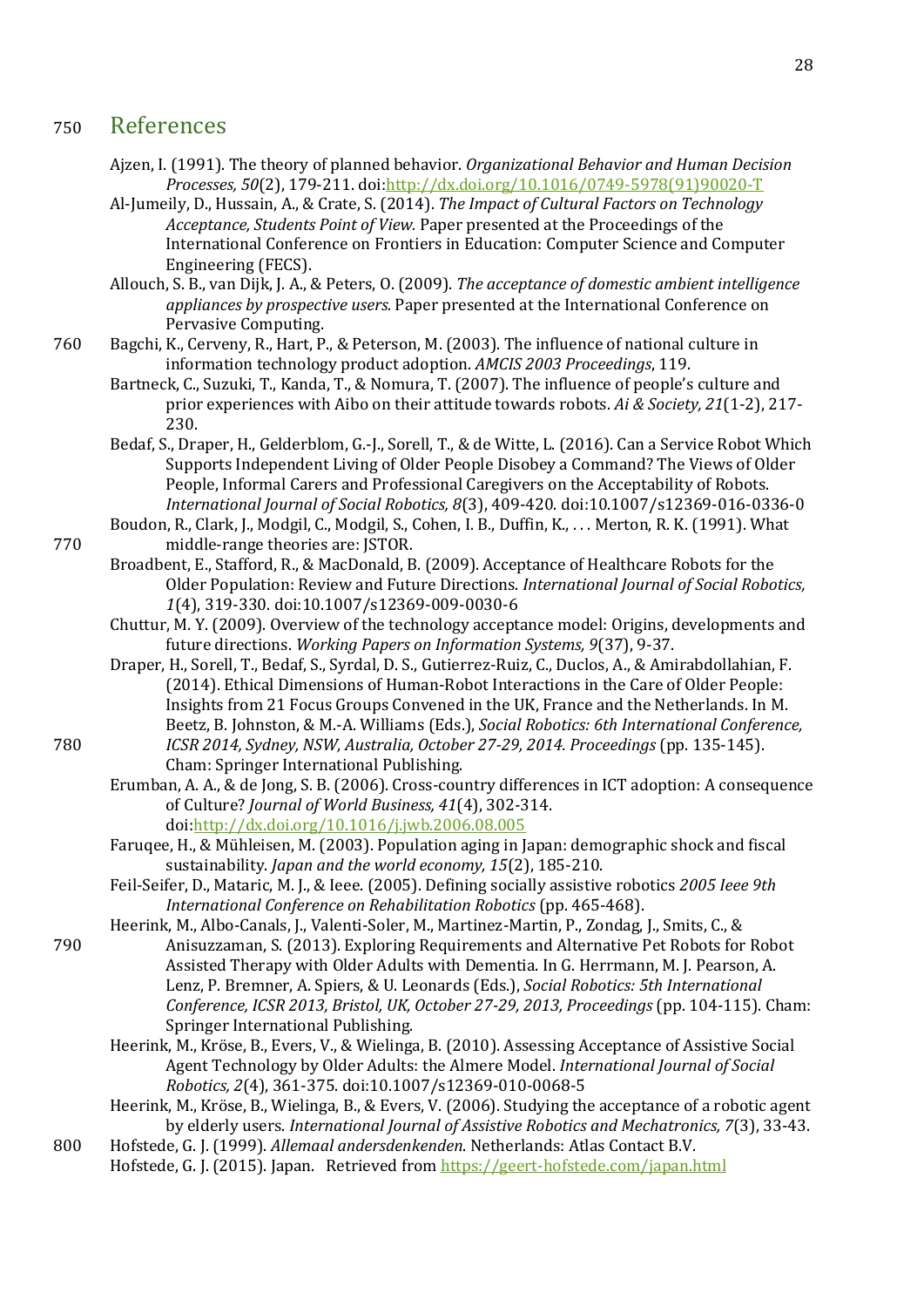### <sup>750</sup> References

- <span id="page-27-0"></span>Ajzen, I. (1991). The theory of planned behavior. *Organizational Behavior and Human Decision Processes, 50*(2), 179-211. doi[:http://dx.doi.org/10.1016/0749-5978\(91\)90020-T](http://dx.doi.org/10.1016/0749-5978(91)90020-T)
- Al-Jumeily, D., Hussain, A., & Crate, S. (2014). *The Impact of Cultural Factors on Technology Acceptance, Students Point of View.* Paper presented at the Proceedings of the International Conference on Frontiers in Education: Computer Science and Computer Engineering (FECS).

Allouch, S. B., van Dijk, J. A., & Peters, O. (2009). *The acceptance of domestic ambient intelligence appliances by prospective users.* Paper presented at the International Conference on Pervasive Computing.

- 760 Bagchi, K., Cerveny, R., Hart, P., & Peterson, M. (2003). The influence of national culture in information technology product adoption. *AMCIS 2003 Proceedings*, 119.
	- Bartneck, C., Suzuki, T., Kanda, T., & Nomura, T. (2007). The influence of people's culture and prior experiences with Aibo on their attitude towards robots. *Ai & Society, 21*(1-2), 217- 230.
	- Bedaf, S., Draper, H., Gelderblom, G.-J., Sorell, T., & de Witte, L. (2016). Can a Service Robot Which Supports Independent Living of Older People Disobey a Command? The Views of Older People, Informal Carers and Professional Caregivers on the Acceptability of Robots. *International Journal of Social Robotics, 8*(3), 409-420. doi:10.1007/s12369-016-0336-0
- Boudon, R., Clark, J., Modgil, C., Modgil, S., Cohen, I. B., Duffin, K., . . . Merton, R. K. (1991). What 770 middle-range theories are: JSTOR.
	- Broadbent, E., Stafford, R., & MacDonald, B. (2009). Acceptance of Healthcare Robots for the Older Population: Review and Future Directions. *International Journal of Social Robotics, 1*(4), 319-330. doi:10.1007/s12369-009-0030-6
	- Chuttur, M. Y. (2009). Overview of the technology acceptance model: Origins, developments and future directions. *Working Papers on Information Systems, 9*(37), 9-37.
- Draper, H., Sorell, T., Bedaf, S., Syrdal, D. S., Gutierrez-Ruiz, C., Duclos, A., & Amirabdollahian, F. (2014). Ethical Dimensions of Human-Robot Interactions in the Care of Older People: Insights from 21 Focus Groups Convened in the UK, France and the Netherlands. In M. Beetz, B. Johnston, & M.-A. Williams (Eds.), *Social Robotics: 6th International Conference,*  780 *ICSR 2014, Sydney, NSW, Australia, October 27-29, 2014. Proceedings* (pp. 135-145). Cham: Springer International Publishing.
	- Erumban, A. A., & de Jong, S. B. (2006). Cross-country differences in ICT adoption: A consequence of Culture? *Journal of World Business, 41*(4), 302-314. doi[:http://dx.doi.org/10.1016/j.jwb.2006.08.005](http://dx.doi.org/10.1016/j.jwb.2006.08.005)
	- Faruqee, H., & Mühleisen, M. (2003). Population aging in Japan: demographic shock and fiscal sustainability. *Japan and the world economy, 15*(2), 185-210.
	- Feil-Seifer, D., Mataric, M. J., & Ieee. (2005). Defining socially assistive robotics *2005 Ieee 9th International Conference on Rehabilitation Robotics* (pp. 465-468).
- Heerink, M., Albo-Canals, J., Valenti-Soler, M., Martinez-Martin, P., Zondag, J., Smits, C., & 790 Anisuzzaman, S. (2013). Exploring Requirements and Alternative Pet Robots for Robot Assisted Therapy with Older Adults with Dementia. In G. Herrmann, M. J. Pearson, A. Lenz, P. Bremner, A. Spiers, & U. Leonards (Eds.), *Social Robotics: 5th International Conference, ICSR 2013, Bristol, UK, October 27-29, 2013, Proceedings* (pp. 104-115). Cham: Springer International Publishing.
	- Heerink, M., Kröse, B., Evers, V., & Wielinga, B. (2010). Assessing Acceptance of Assistive Social Agent Technology by Older Adults: the Almere Model. *International Journal of Social Robotics, 2*(4), 361-375. doi:10.1007/s12369-010-0068-5
	- Heerink, M., Kröse, B., Wielinga, B., & Evers, V. (2006). Studying the acceptance of a robotic agent by elderly users. *International Journal of Assistive Robotics and Mechatronics, 7*(3), 33-43.
- 800 Hofstede, G. J. (1999). *Allemaal andersdenkenden*. Netherlands: Atlas Contact B.V. Hofstede, G. J. (2015). Japan. Retrieved from<https://geert-hofstede.com/japan.html>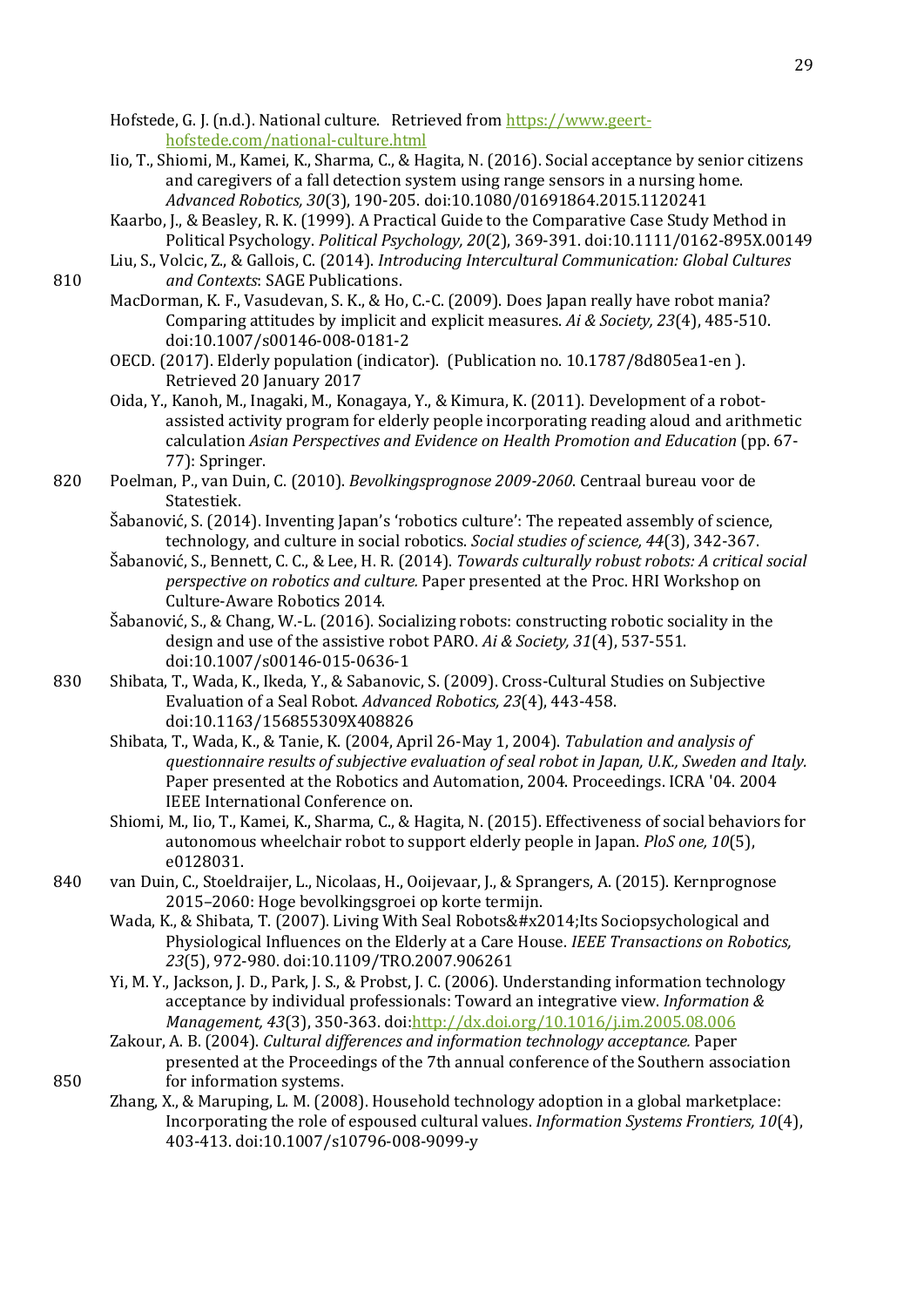Hofstede, G. J. (n.d.). National culture. Retrieved from [https://www.geert](https://www.geert-hofstede.com/national-culture.html)[hofstede.com/national-culture.html](https://www.geert-hofstede.com/national-culture.html)

- Iio, T., Shiomi, M., Kamei, K., Sharma, C., & Hagita, N. (2016). Social acceptance by senior citizens and caregivers of a fall detection system using range sensors in a nursing home. *Advanced Robotics, 30*(3), 190-205. doi:10.1080/01691864.2015.1120241
- Kaarbo, J., & Beasley, R. K. (1999). A Practical Guide to the Comparative Case Study Method in Political Psychology. *Political Psychology, 20*(2), 369-391. doi:10.1111/0162-895X.00149
- Liu, S., Volcic, Z., & Gallois, C. (2014). *Introducing Intercultural Communication: Global Cultures*  810 *and Contexts*: SAGE Publications.
	- MacDorman, K. F., Vasudevan, S. K., & Ho, C.-C. (2009). Does Japan really have robot mania? Comparing attitudes by implicit and explicit measures. *Ai & Society, 23*(4), 485-510. doi:10.1007/s00146-008-0181-2
	- OECD. (2017). Elderly population (indicator). (Publication no. 10.1787/8d805ea1-en ). Retrieved 20 January 2017
	- Oida, Y., Kanoh, M., Inagaki, M., Konagaya, Y., & Kimura, K. (2011). Development of a robotassisted activity program for elderly people incorporating reading aloud and arithmetic calculation *Asian Perspectives and Evidence on Health Promotion and Education* (pp. 67- 77): Springer.
- 820 Poelman, P., van Duin, C. (2010). *Bevolkingsprognose 2009-2060*. Centraal bureau voor de Statestiek.
	- Šabanović, S. (2014). Inventing Japan's 'robotics culture': The repeated assembly of science, technology, and culture in social robotics. *Social studies of science, 44*(3), 342-367.
	- Šabanović, S., Bennett, C. C., & Lee, H. R. (2014). *Towards culturally robust robots: A critical social perspective on robotics and culture.* Paper presented at the Proc. HRI Workshop on Culture-Aware Robotics 2014.
	- Šabanović, S., & Chang, W.-L. (2016). Socializing robots: constructing robotic sociality in the design and use of the assistive robot PARO. *Ai & Society, 31*(4), 537-551. doi:10.1007/s00146-015-0636-1
- 830 Shibata, T., Wada, K., Ikeda, Y., & Sabanovic, S. (2009). Cross-Cultural Studies on Subjective Evaluation of a Seal Robot. *Advanced Robotics, 23*(4), 443-458. doi:10.1163/156855309X408826
	- Shibata, T., Wada, K., & Tanie, K. (2004, April 26-May 1, 2004). *Tabulation and analysis of questionnaire results of subjective evaluation of seal robot in Japan, U.K., Sweden and Italy.* Paper presented at the Robotics and Automation, 2004. Proceedings. ICRA '04. 2004 IEEE International Conference on.
	- Shiomi, M., Iio, T., Kamei, K., Sharma, C., & Hagita, N. (2015). Effectiveness of social behaviors for autonomous wheelchair robot to support elderly people in Japan. *PloS one, 10*(5), e0128031.
- 840 van Duin, C., Stoeldraijer, L., Nicolaas, H., Ooijevaar, J., & Sprangers, A. (2015). Kernprognose 2015–2060: Hoge bevolkingsgroei op korte termijn.
	- Wada, K., & Shibata, T. (2007). Living With Seal Robots— Its Sociopsychological and Physiological Influences on the Elderly at a Care House. *IEEE Transactions on Robotics, 23*(5), 972-980. doi:10.1109/TRO.2007.906261
	- Yi, M. Y., Jackson, J. D., Park, J. S., & Probst, J. C. (2006). Understanding information technology acceptance by individual professionals: Toward an integrative view. *Information & Management, 43*(3), 350-363. doi[:http://dx.doi.org/10.1016/j.im.2005.08.006](http://dx.doi.org/10.1016/j.im.2005.08.006)
- Zakour, A. B. (2004). *Cultural differences and information technology acceptance.* Paper presented at the Proceedings of the 7th annual conference of the Southern association 850 for information systems.
	- Zhang, X., & Maruping, L. M. (2008). Household technology adoption in a global marketplace: Incorporating the role of espoused cultural values. *Information Systems Frontiers, 10*(4), 403-413. doi:10.1007/s10796-008-9099-y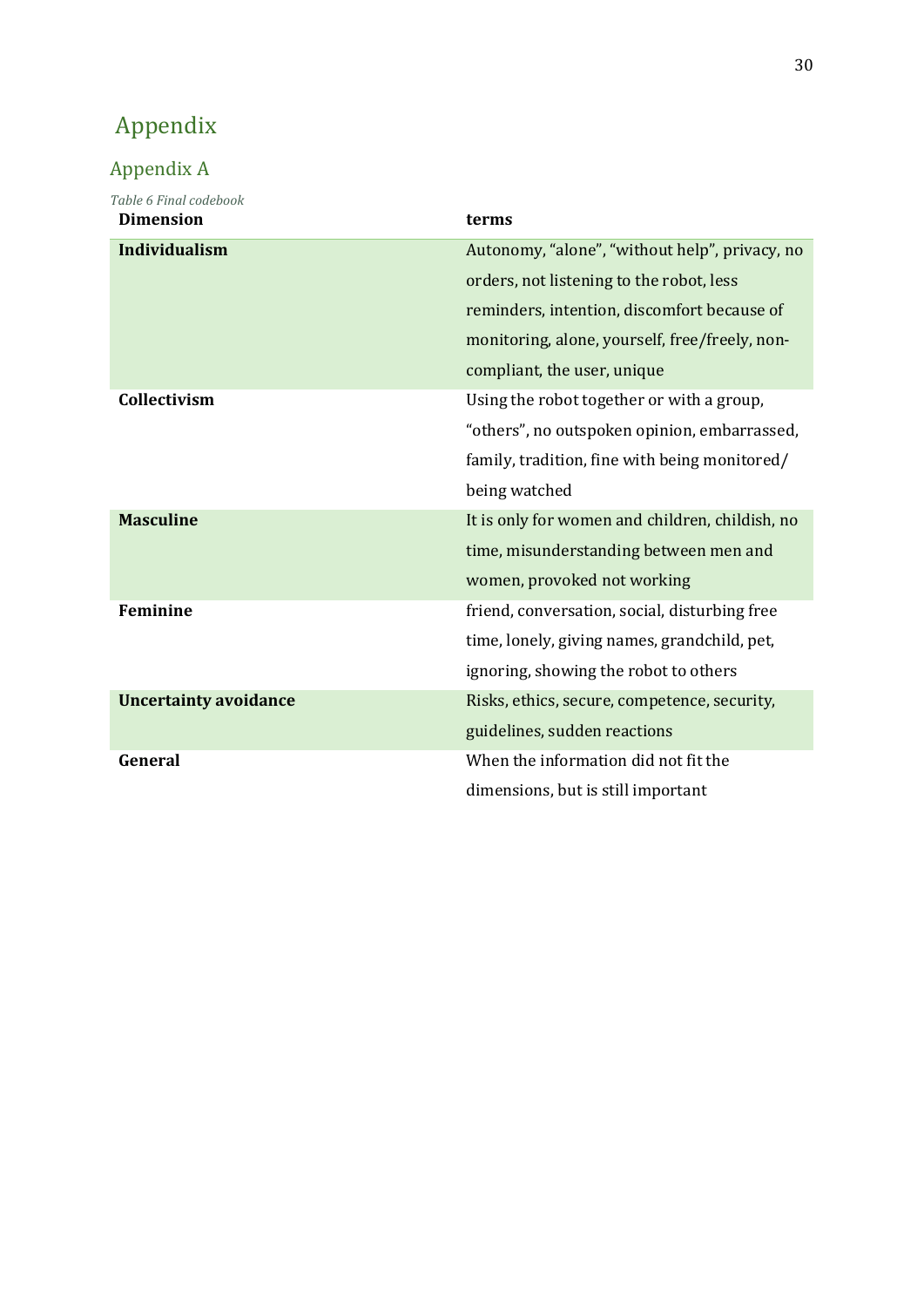# <span id="page-29-0"></span>Appendix

## <span id="page-29-1"></span>Appendix A

| Table 6 Final codebook<br><b>Dimension</b> | terms                                           |
|--------------------------------------------|-------------------------------------------------|
| <b>Individualism</b>                       | Autonomy, "alone", "without help", privacy, no  |
|                                            | orders, not listening to the robot, less        |
|                                            | reminders, intention, discomfort because of     |
|                                            | monitoring, alone, yourself, free/freely, non-  |
|                                            | compliant, the user, unique                     |
| Collectivism                               | Using the robot together or with a group,       |
|                                            | "others", no outspoken opinion, embarrassed,    |
|                                            | family, tradition, fine with being monitored/   |
|                                            | being watched                                   |
| <b>Masculine</b>                           | It is only for women and children, childish, no |
|                                            | time, misunderstanding between men and          |
|                                            | women, provoked not working                     |
| <b>Feminine</b>                            | friend, conversation, social, disturbing free   |
|                                            | time, lonely, giving names, grandchild, pet,    |
|                                            | ignoring, showing the robot to others           |
| <b>Uncertainty avoidance</b>               | Risks, ethics, secure, competence, security,    |
|                                            | guidelines, sudden reactions                    |
| General                                    | When the information did not fit the            |
|                                            | dimensions, but is still important              |